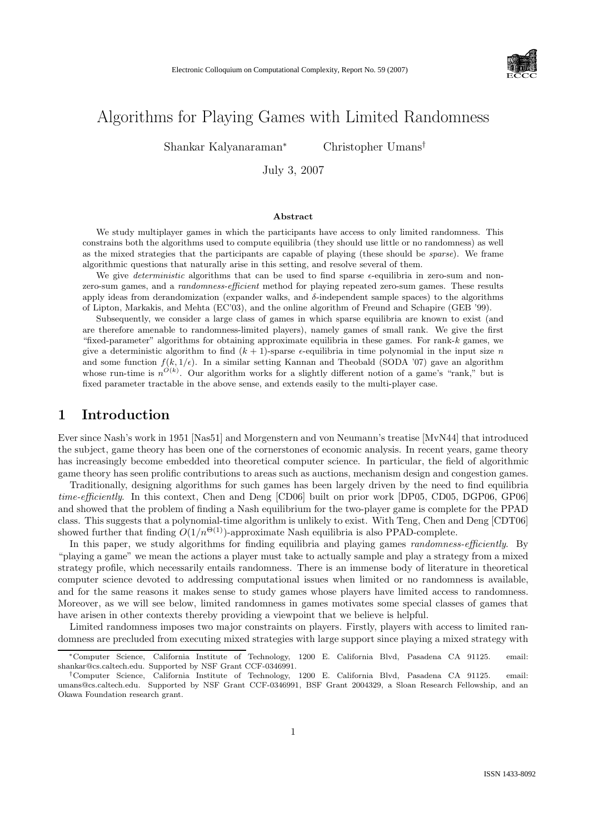

# Algorithms for Playing Games with Limited Randomness

Shankar Kalyanaraman<sup>∗</sup> Christopher Umans†

July 3, 2007

#### Abstract

We study multiplayer games in which the participants have access to only limited randomness. This constrains both the algorithms used to compute equilibria (they should use little or no randomness) as well as the mixed strategies that the participants are capable of playing (these should be sparse). We frame algorithmic questions that naturally arise in this setting, and resolve several of them.

We give *deterministic* algorithms that can be used to find sparse  $\epsilon$ -equilibria in zero-sum and nonzero-sum games, and a randomness-efficient method for playing repeated zero-sum games. These results apply ideas from derandomization (expander walks, and  $\delta$ -independent sample spaces) to the algorithms of Lipton, Markakis, and Mehta (EC'03), and the online algorithm of Freund and Schapire (GEB '99).

Subsequently, we consider a large class of games in which sparse equilibria are known to exist (and are therefore amenable to randomness-limited players), namely games of small rank. We give the first "fixed-parameter" algorithms for obtaining approximate equilibria in these games. For rank- $k$  games, we give a deterministic algorithm to find  $(k + 1)$ -sparse  $\epsilon$ -equilibria in time polynomial in the input size n and some function  $f(k, 1/\epsilon)$ . In a similar setting Kannan and Theobald (SODA '07) gave an algorithm whose run-time is  $n^{\tilde{O}(k)}$ . Our algorithm works for a slightly different notion of a game's "rank," but is fixed parameter tractable in the above sense, and extends easily to the multi-player case.

# 1 Introduction

Ever since Nash's work in 1951 [Nas51] and Morgenstern and von Neumann's treatise [MvN44] that introduced the subject, game theory has been one of the cornerstones of economic analysis. In recent years, game theory has increasingly become embedded into theoretical computer science. In particular, the field of algorithmic game theory has seen prolific contributions to areas such as auctions, mechanism design and congestion games.

Traditionally, designing algorithms for such games has been largely driven by the need to find equilibria time-efficiently. In this context, Chen and Deng [CD06] built on prior work [DP05, CD05, DGP06, GP06] and showed that the problem of finding a Nash equilibrium for the two-player game is complete for the PPAD class. This suggests that a polynomial-time algorithm is unlikely to exist. With Teng, Chen and Deng [CDT06] showed further that finding  $O(1/n^{\Theta(1)})$ -approximate Nash equilibria is also PPAD-complete.

In this paper, we study algorithms for finding equilibria and playing games *randomness-efficiently*. By "playing a game" we mean the actions a player must take to actually sample and play a strategy from a mixed strategy profile, which necessarily entails randomness. There is an immense body of literature in theoretical computer science devoted to addressing computational issues when limited or no randomness is available, and for the same reasons it makes sense to study games whose players have limited access to randomness. Moreover, as we will see below, limited randomness in games motivates some special classes of games that have arisen in other contexts thereby providing a viewpoint that we believe is helpful.

Limited randomness imposes two major constraints on players. Firstly, players with access to limited randomness are precluded from executing mixed strategies with large support since playing a mixed strategy with

<sup>∗</sup>Computer Science, California Institute of Technology, 1200 E. California Blvd, Pasadena CA 91125. email: shankar@cs.caltech.edu. Supported by NSF Grant CCF-0346991.

<sup>†</sup>Computer Science, California Institute of Technology, 1200 E. California Blvd, Pasadena CA 91125. email: umans@cs.caltech.edu. Supported by NSF Grant CCF-0346991, BSF Grant 2004329, a Sloan Research Fellowship, and an Okawa Foundation research grant.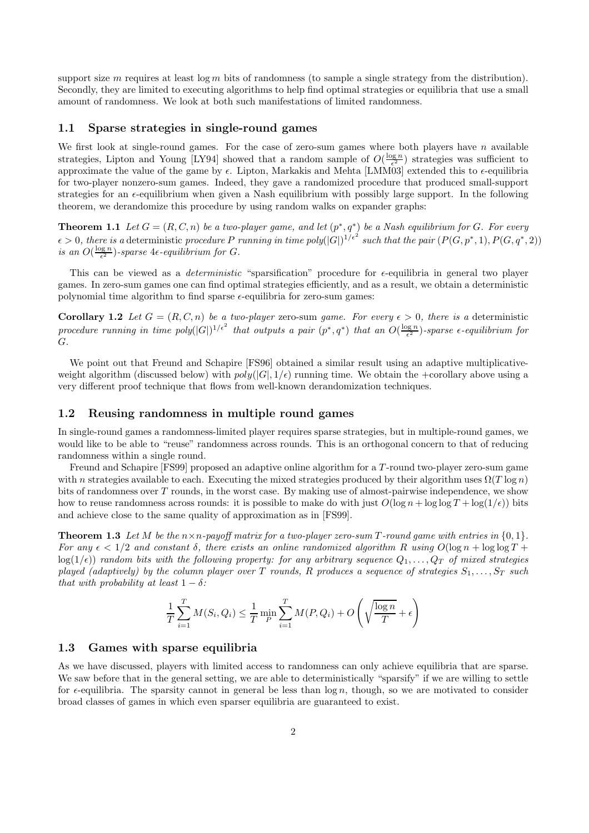support size m requires at least  $\log m$  bits of randomness (to sample a single strategy from the distribution). Secondly, they are limited to executing algorithms to help find optimal strategies or equilibria that use a small amount of randomness. We look at both such manifestations of limited randomness.

### 1.1 Sparse strategies in single-round games

We first look at single-round games. For the case of zero-sum games where both players have  $n$  available strategies, Lipton and Young [LY94] showed that a random sample of  $O(\frac{\log n}{\epsilon^2})$  strategies was sufficient to approximate the value of the game by  $\epsilon$ . Lipton, Markakis and Mehta [LMM03] extended this to  $\epsilon$ -equilibria for two-player nonzero-sum games. Indeed, they gave a randomized procedure that produced small-support strategies for an  $\epsilon$ -equilibrium when given a Nash equilibrium with possibly large support. In the following theorem, we derandomize this procedure by using random walks on expander graphs:

**Theorem 1.1** Let  $G = (R, C, n)$  be a two-player game, and let  $(p^*, q^*)$  be a Nash equilibrium for G. For every  $\epsilon > 0$ , there is a deterministic procedure P running in time poly $(|G|)^{1/\epsilon^2}$  such that the pair  $(P(G, p^*, 1), P(G, q^*, 2))$ is an  $O(\frac{\log n}{\epsilon^2})$ -sparse  $4\epsilon$ -equilibrium for G.

This can be viewed as a *deterministic* "sparsification" procedure for  $\epsilon$ -equilibria in general two player games. In zero-sum games one can find optimal strategies efficiently, and as a result, we obtain a deterministic polynomial time algorithm to find sparse  $\epsilon$ -equilibria for zero-sum games:

**Corollary 1.2** Let  $G = (R, C, n)$  be a two-player zero-sum game. For every  $\epsilon > 0$ , there is a deterministic procedure running in time  $poly(|G|)^{1/\epsilon^2}$  that outputs a pair  $(p^*,q^*)$  that an  $O(\frac{\log n}{\epsilon^2})$ -sparse  $\epsilon$ -equilibrium for G.

We point out that Freund and Schapire [FS96] obtained a similar result using an adaptive multiplicativeweight algorithm (discussed below) with  $poly(|G|, 1/\epsilon)$  running time. We obtain the +corollary above using a very different proof technique that flows from well-known derandomization techniques.

#### 1.2 Reusing randomness in multiple round games

In single-round games a randomness-limited player requires sparse strategies, but in multiple-round games, we would like to be able to "reuse" randomness across rounds. This is an orthogonal concern to that of reducing randomness within a single round.

Freund and Schapire [FS99] proposed an adaptive online algorithm for a T -round two-player zero-sum game with n strategies available to each. Executing the mixed strategies produced by their algorithm uses  $\Omega(T \log n)$ bits of randomness over  $T$  rounds, in the worst case. By making use of almost-pairwise independence, we show how to reuse randomness across rounds: it is possible to make do with just  $O(\log n + \log \log T + \log(1/\epsilon))$  bits and achieve close to the same quality of approximation as in [FS99].

**Theorem 1.3** Let M be the  $n \times n$ -payoff matrix for a two-player zero-sum T-round game with entries in  $\{0, 1\}$ . For any  $\epsilon < 1/2$  and constant  $\delta$ , there exists an online randomized algorithm R using  $O(\log n + \log \log T +$  $log(1/\epsilon)$  random bits with the following property: for any arbitrary sequence  $Q_1, \ldots, Q_T$  of mixed strategies played (adaptively) by the column player over T rounds, R produces a sequence of strategies  $S_1, \ldots, S_T$  such that with probability at least  $1 - \delta$ :

$$
\frac{1}{T} \sum_{i=1}^{T} M(S_i, Q_i) \le \frac{1}{T} \min_{P} \sum_{i=1}^{T} M(P, Q_i) + O\left(\sqrt{\frac{\log n}{T}} + \epsilon\right)
$$

#### 1.3 Games with sparse equilibria

As we have discussed, players with limited access to randomness can only achieve equilibria that are sparse. We saw before that in the general setting, we are able to deterministically "sparsify" if we are willing to settle for  $\epsilon$ -equilibria. The sparsity cannot in general be less than  $\log n$ , though, so we are motivated to consider broad classes of games in which even sparser equilibria are guaranteed to exist.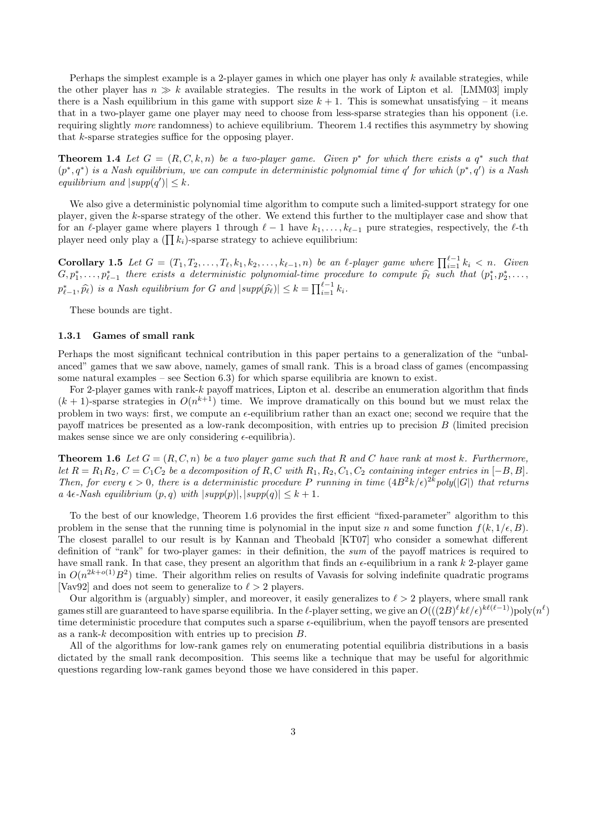Perhaps the simplest example is a 2-player games in which one player has only  $k$  available strategies, while the other player has  $n \gg k$  available strategies. The results in the work of Lipton et al. [LMM03] imply there is a Nash equilibrium in this game with support size  $k + 1$ . This is somewhat unsatisfying – it means that in a two-player game one player may need to choose from less-sparse strategies than his opponent (i.e. requiring slightly more randomness) to achieve equilibrium. Theorem 1.4 rectifies this asymmetry by showing that k-sparse strategies suffice for the opposing player.

**Theorem 1.4** Let  $G = (R, C, k, n)$  be a two-player game. Given  $p^*$  for which there exists a  $q^*$  such that  $(p^*,q^*)$  is a Nash equilibrium, we can compute in deterministic polynomial time q' for which  $(p^*,q')$  is a Nash equilibrium and  $|supp(q')| \leq k$ .

We also give a deterministic polynomial time algorithm to compute such a limited-support strategy for one player, given the k-sparse strategy of the other. We extend this further to the multiplayer case and show that for an  $\ell$ -player game where players 1 through  $\ell - 1$  have  $k_1, \ldots, k_{\ell-1}$  pure strategies, respectively, the  $\ell$ -th player need only play a  $(\prod k_i)$ -sparse strategy to achieve equilibrium:

Corollary 1.5 Let  $G = (T_1, T_2, \ldots, T_\ell, k_1, k_2, \ldots, k_{\ell-1}, n)$  be an  $\ell$ -player game where  $\prod_{i=1}^{\ell-1} k_i < n$ . Given  $G, p_1^*, \ldots, p_{\ell-1}^*$  there exists a deterministic polynomial-time procedure to compute  $\widehat{p}_{\ell}$  such that  $(p_1^*, p_2^*, \ldots, p_{\ell-1}^* | p_{\ell-1}^*|)$  $p_{\ell-1}^*, \widehat{p}_{\ell}$ ) is a Nash equilibrium for G and  $|\text{supp}(\widehat{p}_{\ell})| \leq k = \prod_{i=1}^{\ell-1} k_i$ .

These bounds are tight.

#### 1.3.1 Games of small rank

Perhaps the most significant technical contribution in this paper pertains to a generalization of the "unbalanced" games that we saw above, namely, games of small rank. This is a broad class of games (encompassing some natural examples – see Section  $6.3$ ) for which sparse equilibria are known to exist.

For 2-player games with rank-k payoff matrices, Lipton et al. describe an enumeration algorithm that finds  $(k+1)$ -sparse strategies in  $O(n^{k+1})$  time. We improve dramatically on this bound but we must relax the problem in two ways: first, we compute an  $\epsilon$ -equilibrium rather than an exact one; second we require that the payoff matrices be presented as a low-rank decomposition, with entries up to precision B (limited precision makes sense since we are only considering  $\epsilon$ -equilibria).

**Theorem 1.6** Let  $G = (R, C, n)$  be a two player game such that R and C have rank at most k. Furthermore, let  $R = R_1R_2$ ,  $C = C_1C_2$  be a decomposition of R, C with  $R_1, R_2, C_1, C_2$  containing integer entries in [−B, B]. Then, for every  $\epsilon > 0$ , there is a deterministic procedure P running in time  $(4B^2k/\epsilon)^{2k}$  poly(|G|) that returns a 4 $\epsilon$ -Nash equilibrium  $(p, q)$  with  $|supp(p)|, |supp(q)| \leq k+1$ .

To the best of our knowledge, Theorem 1.6 provides the first efficient "fixed-parameter" algorithm to this problem in the sense that the running time is polynomial in the input size n and some function  $f(k, 1/\epsilon, B)$ . The closest parallel to our result is by Kannan and Theobald [KT07] who consider a somewhat different definition of "rank" for two-player games: in their definition, the sum of the payoff matrices is required to have small rank. In that case, they present an algorithm that finds an  $\epsilon$ -equilibrium in a rank k 2-player game in  $O(n^{2k+o(1)}B^2)$  time. Their algorithm relies on results of Vavasis for solving indefinite quadratic programs [Vav92] and does not seem to generalize to  $\ell > 2$  players.

Our algorithm is (arguably) simpler, and moreover, it easily generalizes to  $\ell > 2$  players, where small rank games still are guaranteed to have sparse equilibria. In the  $\ell$ -player setting, we give an  $O(((2B)^{\ell} k\ell/\epsilon)^{k\ell(\ell-1)})$ poly $(n^{\ell})$ time deterministic procedure that computes such a sparse  $\epsilon$ -equilibrium, when the payoff tensors are presented as a rank-k decomposition with entries up to precision B.

All of the algorithms for low-rank games rely on enumerating potential equilibria distributions in a basis dictated by the small rank decomposition. This seems like a technique that may be useful for algorithmic questions regarding low-rank games beyond those we have considered in this paper.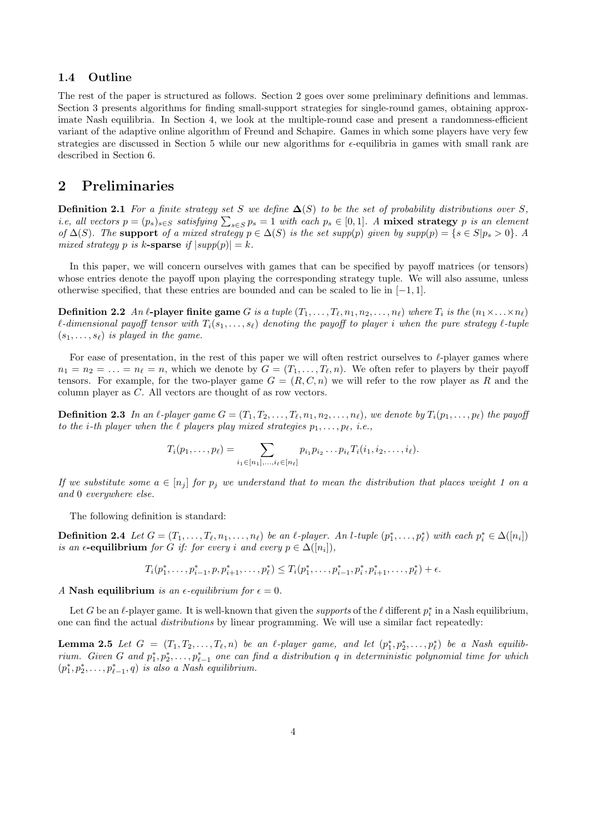## 1.4 Outline

The rest of the paper is structured as follows. Section 2 goes over some preliminary definitions and lemmas. Section 3 presents algorithms for finding small-support strategies for single-round games, obtaining approximate Nash equilibria. In Section 4, we look at the multiple-round case and present a randomness-efficient variant of the adaptive online algorithm of Freund and Schapire. Games in which some players have very few strategies are discussed in Section 5 while our new algorithms for  $\epsilon$ -equilibria in games with small rank are described in Section 6.

# 2 Preliminaries

**Definition 2.1** For a finite strategy set S we define  $\Delta(S)$  to be the set of probability distributions over S, *i.e, all vectors*  $p = (p_s)_{s \in S}$  satisfying  $\sum_{s \in S} p_s = 1$  with each  $p_s \in [0,1]$ . A **mixed strategy** p is an element of  $\Delta(S)$ . The support of a mixed strategy  $p \in \Delta(S)$  is the set supp(p) given by supp(p) = {s ∈ S|p<sub>s</sub> > 0}. A mixed strategy p is k-sparse if  $|supp(p)| = k$ .

In this paper, we will concern ourselves with games that can be specified by payoff matrices (or tensors) whose entries denote the payoff upon playing the corresponding strategy tuple. We will also assume, unless otherwise specified, that these entries are bounded and can be scaled to lie in  $[-1, 1]$ .

**Definition 2.2** An  $\ell$ -player finite game G is a tuple  $(T_1, \ldots, T_\ell, n_1, n_2, \ldots, n_\ell)$  where  $T_i$  is the  $(n_1 \times \ldots \times n_\ell)$  $\ell$ -dimensional payoff tensor with  $T_i(s_1, \ldots, s_\ell)$  denoting the payoff to player i when the pure strategy  $\ell$ -tuple  $(s_1, \ldots, s_\ell)$  is played in the game.

For ease of presentation, in the rest of this paper we will often restrict ourselves to  $\ell$ -player games where  $n_1 = n_2 = \ldots = n_\ell = n$ , which we denote by  $G = (T_1, \ldots, T_\ell, n)$ . We often refer to players by their payoff tensors. For example, for the two-player game  $G = (R, C, n)$  we will refer to the row player as R and the column player as C. All vectors are thought of as row vectors.

**Definition 2.3** In an  $\ell$ -player game  $G = (T_1, T_2, \ldots, T_\ell, n_1, n_2, \ldots, n_\ell)$ , we denote by  $T_i(p_1, \ldots, p_\ell)$  the payoff to the *i*-th player when the  $\ell$  players play mixed strategies  $p_1, \ldots, p_\ell$ , i.e.,

$$
T_i(p_1,\ldots,p_\ell) = \sum_{i_1 \in [n_1],\ldots,i_\ell \in [n_\ell]} p_{i_1} p_{i_2} \ldots p_{i_\ell} T_i(i_1,i_2,\ldots,i_\ell).
$$

If we substitute some  $a \in [n_i]$  for  $p_i$  we understand that to mean the distribution that places weight 1 on a and 0 everywhere else.

The following definition is standard:

**Definition 2.4** Let  $G = (T_1, \ldots, T_\ell, n_1, \ldots, n_\ell)$  be an  $\ell$ -player. An l-tuple  $(p_1^*, \ldots, p_\ell^*)$  with each  $p_i^* \in \Delta([n_i])$ is an  $\epsilon$ -equilibrium for G if: for every i and every  $p \in \Delta([n_i]),$ 

$$
T_i(p_1^*,\ldots,p_{i-1}^*,p,p_{i+1}^*,\ldots,p_{\ell}^*)\leq T_i(p_1^*,\ldots,p_{i-1}^*,p_i^*,p_{i+1}^*,\ldots,p_{\ell}^*)+\epsilon.
$$

A Nash equilibrium is an  $\epsilon$ -equilibrium for  $\epsilon = 0$ .

Let G be an  $\ell$ -player game. It is well-known that given the *supports* of the  $\ell$  different  $p_i^*$  in a Nash equilibrium, one can find the actual distributions by linear programming. We will use a similar fact repeatedly:

**Lemma 2.5** Let  $G = (T_1, T_2, \ldots, T_\ell, n)$  be an  $\ell$ -player game, and let  $(p_1^*, p_2^*, \ldots, p_\ell^*)$  be a Nash equilibrium. Given G and  $p_1^*, p_2^*, \ldots, p_{\ell-1}^*$  one can find a distribution q in deterministic polynomial time for which  $(p_1^*, p_2^*, \ldots, p_{\ell-1}^*, q)$  is also a Nash equilibrium.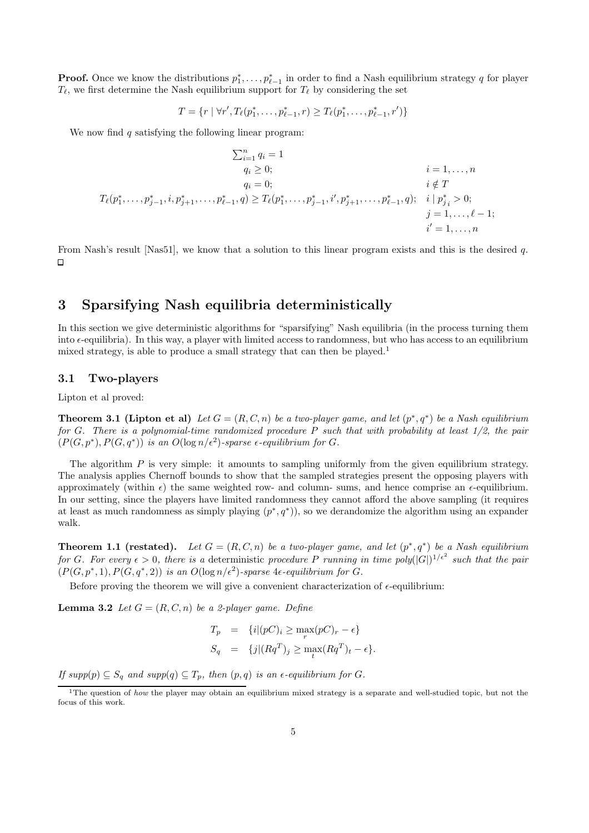**Proof.** Once we know the distributions  $p_1^*, \ldots, p_{\ell-1}^*$  in order to find a Nash equilibrium strategy q for player  $T_{\ell}$ , we first determine the Nash equilibrium support for  $T_{\ell}$  by considering the set

$$
T = \{r \mid \forall r', T_{\ell}(p_1^*, \ldots, p_{\ell-1}^*, r) \geq T_{\ell}(p_1^*, \ldots, p_{\ell-1}^*, r')\}
$$

We now find  $q$  satisfying the following linear program:

$$
\sum_{i=1}^{n} q_i = 1
$$
  
\n
$$
q_i \ge 0;
$$
  
\n
$$
q_i = 0;
$$
  
\n
$$
T_{\ell}(p_1^*, \ldots, p_{j-1}^*, i, p_{j+1}^*, \ldots, p_{\ell-1}^*, q) \ge T_{\ell}(p_1^*, \ldots, p_{j-1}^*, i', p_{j+1}^*, \ldots, p_{\ell-1}^*, q); \quad i | p_{j_i}^* > 0;
$$
  
\n
$$
j = 1, \ldots, \ell - 1;
$$
  
\n
$$
i' = 1, \ldots, n
$$

From Nash's result [Nas51], we know that a solution to this linear program exists and this is the desired q.  $\Box$ 

# 3 Sparsifying Nash equilibria deterministically

In this section we give deterministic algorithms for "sparsifying" Nash equilibria (in the process turning them into  $\epsilon$ -equilibria). In this way, a player with limited access to randomness, but who has access to an equilibrium mixed strategy, is able to produce a small strategy that can then be played.<sup>1</sup>

#### 3.1 Two-players

Lipton et al proved:

**Theorem 3.1 (Lipton et al)** Let  $G = (R, C, n)$  be a two-player game, and let  $(p^*, q^*)$  be a Nash equilibrium for G. There is a polynomial-time randomized procedure P such that with probability at least  $1/2$ , the pair  $(P(G, p^*), P(G, q^*))$  is an  $O(\log n/\epsilon^2)$ -sparse  $\epsilon$ -equilibrium for G.

The algorithm  $P$  is very simple: it amounts to sampling uniformly from the given equilibrium strategy. The analysis applies Chernoff bounds to show that the sampled strategies present the opposing players with approximately (within  $\epsilon$ ) the same weighted row- and column- sums, and hence comprise an  $\epsilon$ -equilibrium. In our setting, since the players have limited randomness they cannot afford the above sampling (it requires at least as much randomness as simply playing  $(p^*, q^*)$ , so we derandomize the algorithm using an expander walk.

**Theorem 1.1 (restated).** Let  $G = (R, C, n)$  be a two-player game, and let  $(p^*, q^*)$  be a Nash equilibrium for G. For every  $\epsilon > 0$ , there is a deterministic procedure P running in time poly $(|G|)^{1/\epsilon^2}$  such that the pair  $(P(G, p^*, 1), P(G, q^*, 2))$  is an  $O(\log n/\epsilon^2)$ -sparse 4 $\epsilon$ -equilibrium for G.

Before proving the theorem we will give a convenient characterization of  $\epsilon$ -equilibrium:

**Lemma 3.2** Let  $G = (R, C, n)$  be a 2-player game. Define

$$
T_p = \{i|(pC)_i \ge \max_r (pC)_r - \epsilon\}
$$
  
\n
$$
S_q = \{j|(Rq^T)_j \ge \max_t (Rq^T)_t - \epsilon\}.
$$

If  $supp(p) \subseteq S_q$  and  $supp(q) \subseteq T_p$ , then  $(p, q)$  is an  $\epsilon$ -equilibrium for G.

<sup>&</sup>lt;sup>1</sup>The question of *how* the player may obtain an equilibrium mixed strategy is a separate and well-studied topic, but not the focus of this work.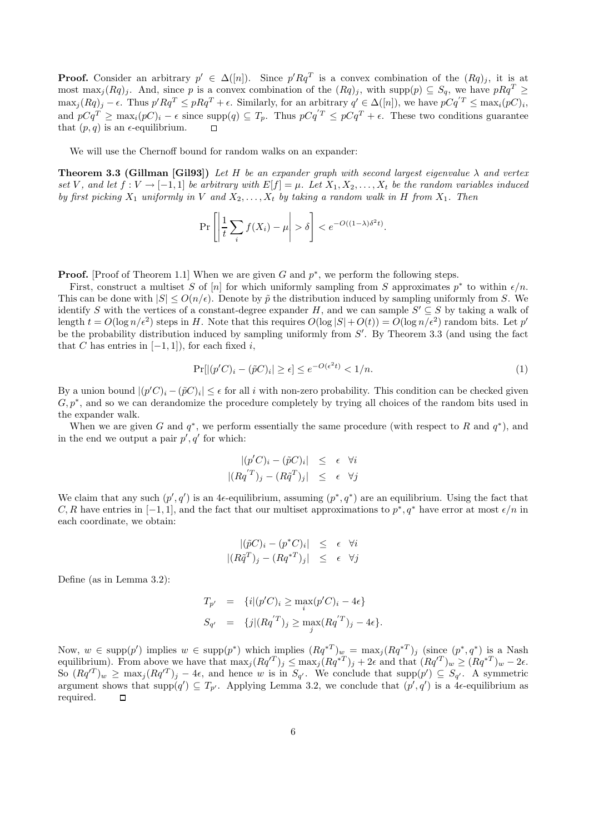**Proof.** Consider an arbitrary  $p' \in \Delta([n])$ . Since  $p'Rq^T$  is a convex combination of the  $(Rq)_j$ , it is at most max<sub>j</sub> $(Rq)_j$ . And, since p is a convex combination of the  $(Rq)_j$ , with supp $(p) \subseteq S_q$ , we have  $pRq^T \geq$  $\max_j (Rq)_j - \epsilon$ . Thus  $p'Rq^T \leq pRq^T + \epsilon$ . Similarly, for an arbitrary  $q' \in \Delta([n])$ , we have  $pCq^{'T} \leq \max_i (pC)_i$ , and  $pCq^T \ge \max_i (pC)_i - \epsilon$  since  $\text{supp}(q) \subseteq T_p$ . Thus  $pCq^T \le pCq^T + \epsilon$ . These two conditions guarantee that  $(p, q)$  is an  $\epsilon$ -equilibrium.  $\Box$ 

We will use the Chernoff bound for random walks on an expander:

**Theorem 3.3 (Gillman [Gil93])** Let H be an expander graph with second largest eigenvalue  $\lambda$  and vertex set V, and let  $f: V \to [-1,1]$  be arbitrary with  $E[f] = \mu$ . Let  $X_1, X_2, \ldots, X_t$  be the random variables induced by first picking  $X_1$  uniformly in V and  $X_2, \ldots, X_t$  by taking a random walk in H from  $X_1$ . Then

$$
\Pr\left[\left|\frac{1}{t}\sum_{i}f(X_i)-\mu\right|>\delta\right] < e^{-O((1-\lambda)\delta^2t)}.
$$

**Proof.** [Proof of Theorem 1.1] When we are given G and  $p^*$ , we perform the following steps.

First, construct a multiset S of [n] for which uniformly sampling from S approximates  $p^*$  to within  $\epsilon/n$ . This can be done with  $|S| \le O(n/\epsilon)$ . Denote by  $\tilde{p}$  the distribution induced by sampling uniformly from S. We identify S with the vertices of a constant-degree expander H, and we can sample  $S' \subseteq S$  by taking a walk of length  $t = O(\log n/\epsilon^2)$  steps in H. Note that this requires  $O(\log |S| + O(t)) = O(\log n/\epsilon^2)$  random bits. Let  $p'$ be the probability distribution induced by sampling uniformly from  $S'$ . By Theorem 3.3 (and using the fact that C has entries in  $[-1, 1]$ , for each fixed i,

$$
\Pr[|(p'C)_i - (\tilde{p}C)_i| \ge \epsilon] \le e^{-O(\epsilon^2 t)} < 1/n. \tag{1}
$$

By a union bound  $|(p'C)_i - (\tilde{p}C)_i| \leq \epsilon$  for all i with non-zero probability. This condition can be checked given  $G, p^*$ , and so we can derandomize the procedure completely by trying all choices of the random bits used in the expander walk.

When we are given G and  $q^*$ , we perform essentially the same procedure (with respect to R and  $q^*$ ), and in the end we output a pair  $p', q'$  for which:

$$
\begin{aligned}\n| (p'C)_i - (\tilde{p}C)_i| &\leq \epsilon \quad \forall i \\
| (Rq^{'T})_j - (R\tilde{q}^T)_j| &\leq \epsilon \quad \forall j\n\end{aligned}
$$

We claim that any such  $(p', q')$  is an 4 $\epsilon$ -equilibrium, assuming  $(p^*, q^*)$  are an equilibrium. Using the fact that C, R have entries in  $[-1, 1]$ , and the fact that our multiset approximations to  $p^*, q^*$  have error at most  $\epsilon/n$  in each coordinate, we obtain:

$$
\begin{array}{rcl}\n|(\tilde{p}C)_i - (p^*C)_i| & \leq & \epsilon \quad \forall i \\
|(R\tilde{q}^T)_j - (Rq^{*T})_j| & \leq & \epsilon \quad \forall j\n\end{array}
$$

Define (as in Lemma 3.2):

$$
T_{p'} = \{i | (p'C)_i \ge \max_i (p'C)_i - 4\epsilon\}
$$
  
\n
$$
S_{q'} = \{j | (Rq'^T)_j \ge \max_j (Rq'^T)_j - 4\epsilon\}.
$$

Now,  $w \in \text{supp}(p')$  implies  $w \in \text{supp}(p^*)$  which implies  $(Rq^{*T})_w = \max_j (Rq^{*T})_j$  (since  $(p^*, q^*)$  is a Nash equilibrium). From above we have that  $\max_j (Rq^{T})_j \leq \max_j (Rq^{*T})_j + 2\epsilon$  and that  $(Rq^{T})_w \geq (Rq^{*T})_w - 2\epsilon$ . So  $(Rq^{T})_{w} \ge \max_{j} (Rq^{T})_{j} - 4\epsilon$ , and hence w is in  $S_{q'}$ . We conclude that  $\text{supp}(p') \subseteq S_{q'}$ . A symmetric argument shows that  $\text{supp}(q') \subseteq T_{p'}$ . Applying Lemma 3.2, we conclude that  $(p', q')$  is a 4 $\epsilon$ -equilibrium as required.  $\Box$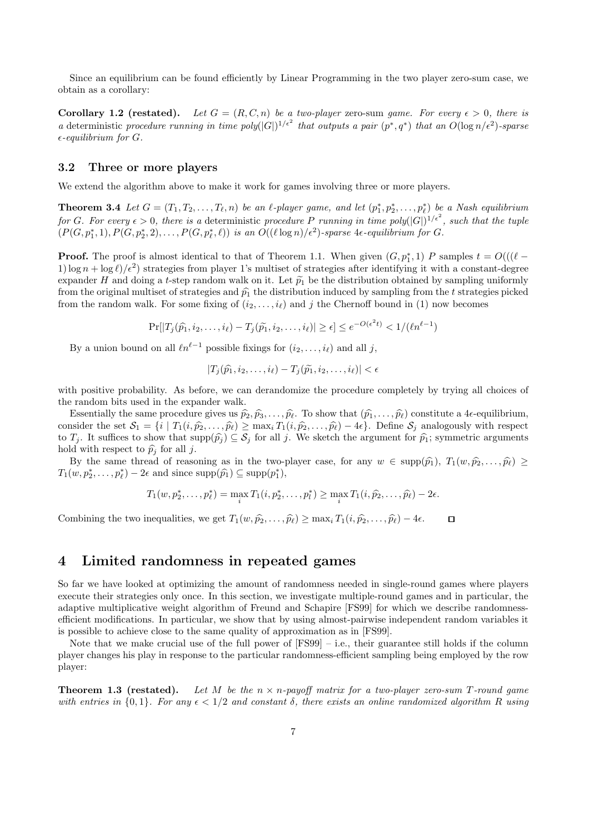Since an equilibrium can be found efficiently by Linear Programming in the two player zero-sum case, we obtain as a corollary:

**Corollary 1.2 (restated).** Let  $G = (R, C, n)$  be a two-player zero-sum game. For every  $\epsilon > 0$ , there is a deterministic procedure running in time  $poly(|G|)^{1/\epsilon^2}$  that outputs a pair  $(p^*,q^*)$  that an  $O(\log n/\epsilon^2)$ -sparse  $\epsilon$ -equilibrium for G.

### 3.2 Three or more players

We extend the algorithm above to make it work for games involving three or more players.

**Theorem 3.4** Let  $G = (T_1, T_2, \ldots, T_\ell, n)$  be an  $\ell$ -player game, and let  $(p_1^*, p_2^*, \ldots, p_\ell^*)$  be a Nash equilibrium for G. For every  $\epsilon > 0$ , there is a deterministic procedure P running in time poly $(|G|)^{1/\epsilon^2}$ , such that the tuple  $(P(G, p_1^*, 1), P(G, p_2^*, 2), \ldots, P(G, p_\ell^*, \ell))$  is an  $O((\ell \log n)/\epsilon^2)$ -sparse 4 $\epsilon$ -equilibrium for G.

**Proof.** The proof is almost identical to that of Theorem 1.1. When given  $(G, p_1^*, 1)$  P samples  $t = O((\ell -$ 1)  $\log n + \log \ell$ / $\epsilon^2$  strategies from player 1's multiset of strategies after identifying it with a constant-degree expander H and doing a t-step random walk on it. Let  $\tilde{p}_1$  be the distribution obtained by sampling uniformly from the original multiset of strategies and  $\hat{p}_1$  the distribution induced by sampling from the t strategies picked from the random walk. For some fixing of  $(i_2, \ldots, i_\ell)$  and j the Chernoff bound in (1) now becomes

$$
\Pr[|T_j(\widehat{p_1}, i_2, \dots, i_\ell) - T_j(\widetilde{p_1}, i_2, \dots, i_\ell)| \ge \epsilon] \le e^{-O(\epsilon^2 t)} < 1/(\ell n^{\ell-1})
$$

By a union bound on all  $\ell n^{\ell-1}$  possible fixings for  $(i_2, \ldots, i_\ell)$  and all j,

$$
|T_j(\widehat{p_1}, i_2, \ldots, i_\ell) - T_j(\widetilde{p_1}, i_2, \ldots, i_\ell)| < \epsilon
$$

with positive probability. As before, we can derandomize the procedure completely by trying all choices of the random bits used in the expander walk.

Essentially the same procedure gives us  $\hat{p}_2, \hat{p}_3, \ldots, \hat{p}_\ell$ . To show that  $(\hat{p}_1, \ldots, \hat{p}_\ell)$  constitute a 4 $\epsilon$ -equilibrium, consider the set  $\mathcal{S}_1 = \{i \mid T_1(i, \hat{p}_2, \dots, \hat{p}_\ell) \ge \max_i T_1(i, \hat{p}_2, \dots, \hat{p}_\ell) - 4\epsilon\}.$  Define  $\mathcal{S}_j$  analogously with respect to  $T_j$ . It suffices to show that  $\text{supp}(\widehat{p}_j) \subseteq \mathcal{S}_j$  for all j. We sketch the argument for  $\widehat{p}_1$ ; symmetric arguments hold with respect to  $\hat{p}_i$  for all j.

By the same thread of reasoning as in the two-player case, for any  $w \in \text{supp}(\hat{p}_1), T_1(w, \hat{p}_2, \dots, \hat{p}_\ell) \geq$  $T_1(w, p_2^*, \ldots, p_\ell^*) - 2\epsilon$  and since  $\text{supp}(\hat{p_1}) \subseteq \text{supp}(p_1^*),$ 

$$
T_1(w, p_2^*, \ldots, p_\ell^*) = \max_i T_1(i, p_2^*, \ldots, p_l^*) \ge \max_i T_1(i, \widehat{p}_2, \ldots, \widehat{p}_\ell) - 2\epsilon.
$$

Combining the two inequalities, we get  $T_1(w, \hat{p}_2, \dots, \hat{p}_\ell) \ge \max_i T_1(i, \hat{p}_2, \dots, \hat{p}_\ell) - 4\epsilon$ .  $\Box$ 

# 4 Limited randomness in repeated games

So far we have looked at optimizing the amount of randomness needed in single-round games where players execute their strategies only once. In this section, we investigate multiple-round games and in particular, the adaptive multiplicative weight algorithm of Freund and Schapire [FS99] for which we describe randomnessefficient modifications. In particular, we show that by using almost-pairwise independent random variables it is possible to achieve close to the same quality of approximation as in [FS99].

Note that we make crucial use of the full power of  $[FS99] - i.e.,$  their guarantee still holds if the column player changes his play in response to the particular randomness-efficient sampling being employed by the row player:

**Theorem 1.3 (restated).** Let M be the  $n \times n$ -payoff matrix for a two-player zero-sum T-round game with entries in  $\{0,1\}$ . For any  $\epsilon < 1/2$  and constant  $\delta$ , there exists an online randomized algorithm R using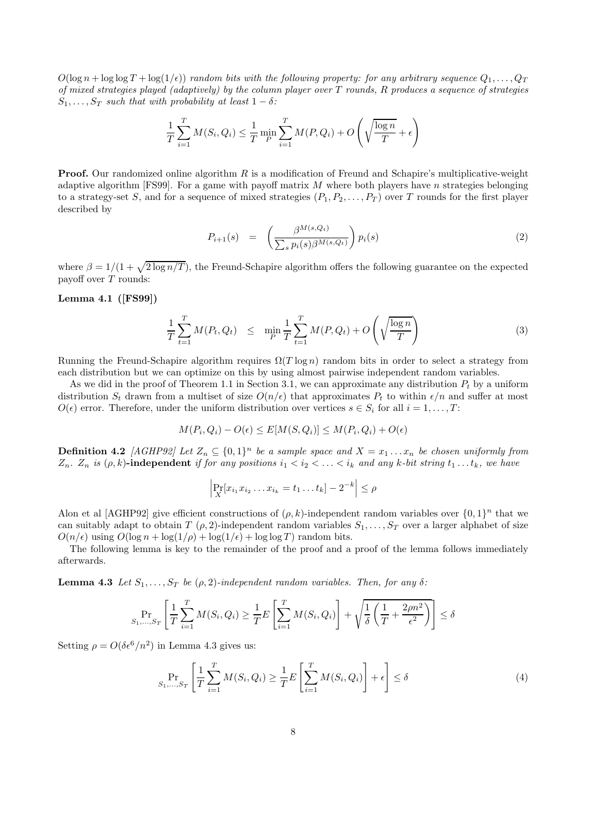$O(\log n + \log \log T + \log(1/\epsilon))$  random bits with the following property: for any arbitrary sequence  $Q_1, \ldots, Q_T$ of mixed strategies played (adaptively) by the column player over  $T$  rounds,  $R$  produces a sequence of strategies  $S_1, \ldots, S_T$  such that with probability at least  $1 - \delta$ :

$$
\frac{1}{T} \sum_{i=1}^{T} M(S_i, Q_i) \leq \frac{1}{T} \min_{P} \sum_{i=1}^{T} M(P, Q_i) + O\left(\sqrt{\frac{\log n}{T}} + \epsilon\right)
$$

**Proof.** Our randomized online algorithm  $R$  is a modification of Freund and Schapire's multiplicative-weight adaptive algorithm [FS99]. For a game with payoff matrix M where both players have n strategies belonging to a strategy-set S, and for a sequence of mixed strategies  $(P_1, P_2, \ldots, P_T)$  over T rounds for the first player described by

$$
P_{i+1}(s) = \left(\frac{\beta^{M(s,Q_t)}}{\sum_s p_i(s)\beta^{M(s,Q_t)}}\right) p_i(s) \tag{2}
$$

where  $\beta = 1/(1 + \sqrt{2 \log n / T})$ , the Freund-Schapire algorithm offers the following guarantee on the expected payoff over  $T$  rounds:

### Lemma 4.1 ([FS99])

$$
\frac{1}{T} \sum_{t=1}^{T} M(P_t, Q_t) \leq \min_{P} \frac{1}{T} \sum_{t=1}^{T} M(P, Q_t) + O\left(\sqrt{\frac{\log n}{T}}\right)
$$
\n(3)

Running the Freund-Schapire algorithm requires  $\Omega(T \log n)$  random bits in order to select a strategy from each distribution but we can optimize on this by using almost pairwise independent random variables.

As we did in the proof of Theorem 1.1 in Section 3.1, we can approximate any distribution  $P_t$  by a uniform distribution  $S_t$  drawn from a multiset of size  $O(n/\epsilon)$  that approximates  $P_t$  to within  $\epsilon/n$  and suffer at most  $O(\epsilon)$  error. Therefore, under the uniform distribution over vertices  $s \in S_i$  for all  $i = 1, \ldots, T$ :

$$
M(P_i, Q_i) - O(\epsilon) \le E[M(S, Q_i)] \le M(P_i, Q_i) + O(\epsilon)
$$

**Definition 4.2** [AGHP92] Let  $Z_n \subseteq \{0,1\}^n$  be a sample space and  $X = x_1 \ldots x_n$  be chosen uniformly from  $Z_n$ .  $Z_n$  is  $(\rho, k)$ -independent if for any positions  $i_1 < i_2 < \ldots < i_k$  and any k-bit string  $t_1 \ldots t_k$ , we have

$$
\left| \Pr_{X}[x_{i_1} x_{i_2} \dots x_{i_k} = t_1 \dots t_k] - 2^{-k} \right| \le \rho
$$

Alon et al [AGHP92] give efficient constructions of  $(\rho, k)$ -independent random variables over  $\{0, 1\}^n$  that we can suitably adapt to obtain T  $(\rho, 2)$ -independent random variables  $S_1, \ldots, S_T$  over a larger alphabet of size  $O(n/\epsilon)$  using  $O(\log n + \log(1/\rho) + \log(1/\epsilon) + \log \log T)$  random bits.

The following lemma is key to the remainder of the proof and a proof of the lemma follows immediately afterwards.

**Lemma 4.3** Let  $S_1, \ldots, S_T$  be ( $\rho$ , 2)-independent random variables. Then, for any  $\delta$ :

$$
\Pr_{S_1,\dots,S_T} \left[ \frac{1}{T} \sum_{i=1}^T M(S_i, Q_i) \ge \frac{1}{T} E \left[ \sum_{i=1}^T M(S_i, Q_i) \right] + \sqrt{\frac{1}{\delta} \left( \frac{1}{T} + \frac{2\rho n^2}{\epsilon^2} \right)} \right] \le \delta
$$

Setting  $\rho = O(\delta \epsilon^6/n^2)$  in Lemma 4.3 gives us:

$$
\Pr_{S_1,\dots,S_T} \left[ \frac{1}{T} \sum_{i=1}^T M(S_i, Q_i) \ge \frac{1}{T} E \left[ \sum_{i=1}^T M(S_i, Q_i) \right] + \epsilon \right] \le \delta \tag{4}
$$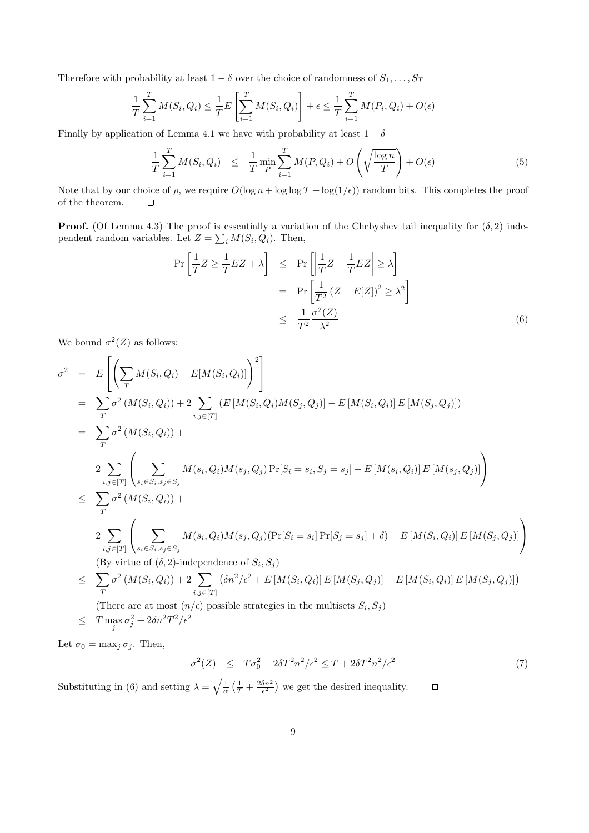Therefore with probability at least  $1 - \delta$  over the choice of randomness of  $S_1, \ldots, S_T$ 

$$
\frac{1}{T} \sum_{i=1}^{T} M(S_i, Q_i) \leq \frac{1}{T} E\left[\sum_{i=1}^{T} M(S_i, Q_i)\right] + \epsilon \leq \frac{1}{T} \sum_{i=1}^{T} M(P_i, Q_i) + O(\epsilon)
$$

Finally by application of Lemma 4.1 we have with probability at least  $1 - \delta$ 

$$
\frac{1}{T} \sum_{i=1}^{T} M(S_i, Q_i) \leq \frac{1}{T} \min_{P} \sum_{i=1}^{T} M(P, Q_i) + O\left(\sqrt{\frac{\log n}{T}}\right) + O(\epsilon)
$$
\n(5)

Note that by our choice of  $\rho$ , we require  $O(\log n + \log \log T + \log(1/\epsilon))$  random bits. This completes the proof of the theorem.  $\Box$ 

**Proof.** (Of Lemma 4.3) The proof is essentially a variation of the Chebyshev tail inequality for  $(\delta, 2)$  independent random variables. Let  $Z = \sum_i M(S_i, Q_i)$ . Then,

$$
\Pr\left[\frac{1}{T}Z \ge \frac{1}{T}EZ + \lambda\right] \le \Pr\left[\left|\frac{1}{T}Z - \frac{1}{T}EZ\right| \ge \lambda\right]
$$

$$
= \Pr\left[\frac{1}{T^2}(Z - E[Z])^2 \ge \lambda^2\right]
$$

$$
\le \frac{1}{T^2}\frac{\sigma^2(Z)}{\lambda^2}
$$
(6)

We bound  $\sigma^2(Z)$  as follows:

$$
\sigma^{2} = E\left[\left(\sum_{T} M(S_{i}, Q_{i}) - E[M(S_{i}, Q_{i})]\right)^{2}\right]
$$
\n
$$
= \sum_{T} \sigma^{2} (M(S_{i}, Q_{i})) + 2 \sum_{i,j \in [T]} (E\left[M(S_{i}, Q_{i})M(S_{j}, Q_{j})\right] - E\left[M(S_{i}, Q_{i})\right]E\left[M(S_{j}, Q_{j})\right])
$$
\n
$$
= \sum_{T} \sigma^{2} (M(S_{i}, Q_{i})) +
$$
\n
$$
2 \sum_{i,j \in [T]} \left(\sum_{s_{i} \in S_{i}, s_{j} \in S_{j}} M(s_{i}, Q_{i})M(s_{j}, Q_{j})\Pr[S_{i} = s_{i}, S_{j} = s_{j}] - E\left[M(s_{i}, Q_{i})\right]E\left[M(s_{j}, Q_{j})\right]\right)
$$
\n
$$
\leq \sum_{T} \sigma^{2} (M(S_{i}, Q_{i})) +
$$
\n
$$
2 \sum_{i,j \in [T]} \left(\sum_{s_{i} \in S_{i}, s_{j} \in S_{j}} M(s_{i}, Q_{i})M(s_{j}, Q_{j})\Pr[S_{i} = s_{i}] \Pr[S_{j} = s_{j}] + \delta) - E\left[M(S_{i}, Q_{i})\right]E\left[M(S_{j}, Q_{j})\right]\right)
$$
\n
$$
(By virtue of  $(\delta, 2)$ -independence of  $S_{i}, S_{j}$ )
$$
\n
$$
\leq \sum_{T} \sigma^{2} (M(S_{i}, Q_{i})) + 2 \sum_{i,j \in [T]} (\delta n^{2}/\epsilon^{2} + E\left[M(S_{i}, Q_{i})\right]E\left[M(S_{j}, Q_{j})\right] - E\left[M(S_{i}, Q_{i})\right]E\left[M(S_{j}, Q_{j})\right])
$$
\n
$$
(There are at most  $(n/\epsilon)$  possible strategies in the multisets  $S_{i}, S_{j}$ )
$$
\n
$$
\leq T \max_{j} \sigma^{2} + 2\delta n^{2}T^{2}/\epsilon^{2}
$$

Let  $\sigma_0 = \max_j \sigma_j$ . Then,

$$
\sigma^2(Z) \le T\sigma_0^2 + 2\delta T^2 n^2/\epsilon^2 \le T + 2\delta T^2 n^2/\epsilon^2 \tag{7}
$$

 $\Box$ 

Substituting in (6) and setting  $\lambda = \sqrt{\frac{1}{\alpha} \left( \frac{1}{T} + \frac{2\delta n^2}{\epsilon^2} \right)}$  we get the desired inequality.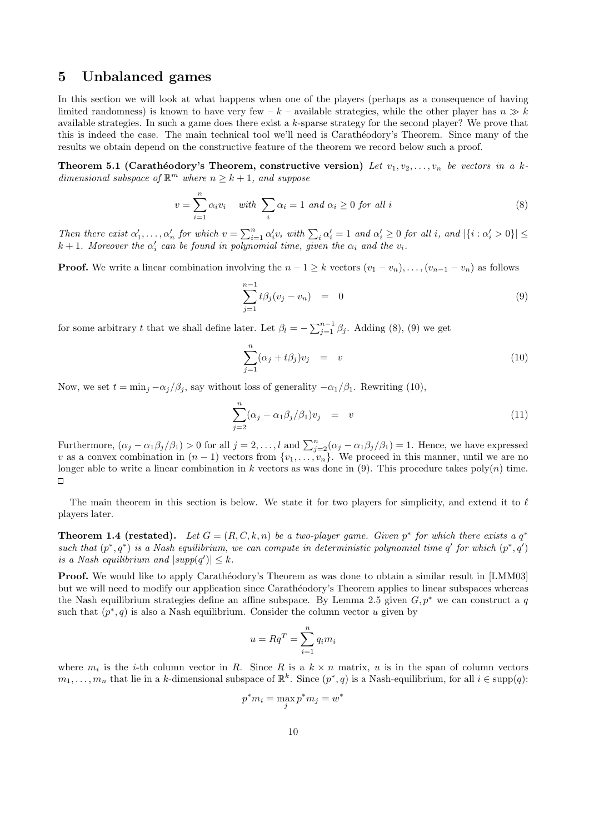# 5 Unbalanced games

In this section we will look at what happens when one of the players (perhaps as a consequence of having limited randomness) is known to have very few – k – available strategies, while the other player has  $n \gg k$ available strategies. In such a game does there exist a k-sparse strategy for the second player? We prove that this is indeed the case. The main technical tool we'll need is Carathéodory's Theorem. Since many of the results we obtain depend on the constructive feature of the theorem we record below such a proof.

Theorem 5.1 (Carathéodory's Theorem, constructive version) Let  $v_1, v_2, \ldots, v_n$  be vectors in a kdimensional subspace of  $\mathbb{R}^m$  where  $n \geq k+1$ , and suppose

$$
v = \sum_{i=1}^{n} \alpha_i v_i \quad \text{with } \sum_{i} \alpha_i = 1 \text{ and } \alpha_i \ge 0 \text{ for all } i
$$
 (8)

Then there exist  $\alpha'_1, \ldots, \alpha'_n$  for which  $v = \sum_{i=1}^n \alpha'_i v_i$  with  $\sum_i \alpha'_i = 1$  and  $\alpha'_i \geq 0$  for all i, and  $|\{i : \alpha'_i > 0\}| \leq$  $k+1$ . Moreover the  $\alpha'_i$  can be found in polynomial time, given the  $\alpha_i$  and the  $v_i$ .

**Proof.** We write a linear combination involving the  $n - 1 \geq k$  vectors  $(v_1 - v_n), \ldots, (v_{n-1} - v_n)$  as follows

$$
\sum_{j=1}^{n-1} t \beta_j (v_j - v_n) = 0 \tag{9}
$$

for some arbitrary t that we shall define later. Let  $\beta_l = -\sum_{j=1}^{n-1} \beta_j$ . Adding (8), (9) we get

$$
\sum_{j=1}^{n} (\alpha_j + t\beta_j)v_j = v \tag{10}
$$

Now, we set  $t = \min_i -\alpha_i/\beta_i$ , say without loss of generality  $-\alpha_1/\beta_1$ . Rewriting (10),

$$
\sum_{j=2}^{n} (\alpha_j - \alpha_1 \beta_j / \beta_1) v_j = v \tag{11}
$$

Furthermore,  $(\alpha_j - \alpha_1 \beta_j/\beta_1) > 0$  for all  $j = 2, ..., l$  and  $\sum_{j=2}^n (\alpha_j - \alpha_1 \beta_j/\beta_1) = 1$ . Hence, we have expressed v as a convex combination in  $(n-1)$  vectors from  $\{v_1, \ldots, v_n\}$ . We proceed in this manner, until we are no longer able to write a linear combination in k vectors as was done in (9). This procedure takes  $poly(n)$  time.  $\Box$ 

The main theorem in this section is below. We state it for two players for simplicity, and extend it to  $\ell$ players later.

**Theorem 1.4 (restated).** Let  $G = (R, C, k, n)$  be a two-player game. Given  $p^*$  for which there exists a  $q^*$ such that  $(p^*, q^*)$  is a Nash equilibrium, we can compute in deterministic polynomial time  $q'$  for which  $(p^*, q')$ is a Nash equilibrium and  $|supp(q')| \leq k$ .

**Proof.** We would like to apply Carathéodory's Theorem as was done to obtain a similar result in [LMM03] but we will need to modify our application since Carathéodory's Theorem applies to linear subspaces whereas the Nash equilibrium strategies define an affine subspace. By Lemma 2.5 given  $G, p^*$  we can construct a q such that  $(p^*, q)$  is also a Nash equilibrium. Consider the column vector u given by

$$
u = Rq^T = \sum_{i=1}^n q_i m_i
$$

where  $m_i$  is the *i*-th column vector in R. Since R is a  $k \times n$  matrix, u is in the span of column vectors  $m_1, \ldots, m_n$  that lie in a k-dimensional subspace of  $\mathbb{R}^k$ . Since  $(p^*, q)$  is a Nash-equilibrium, for all  $i \in \text{supp}(q)$ :

$$
p^*m_i = \max_j p^*m_j = w^*
$$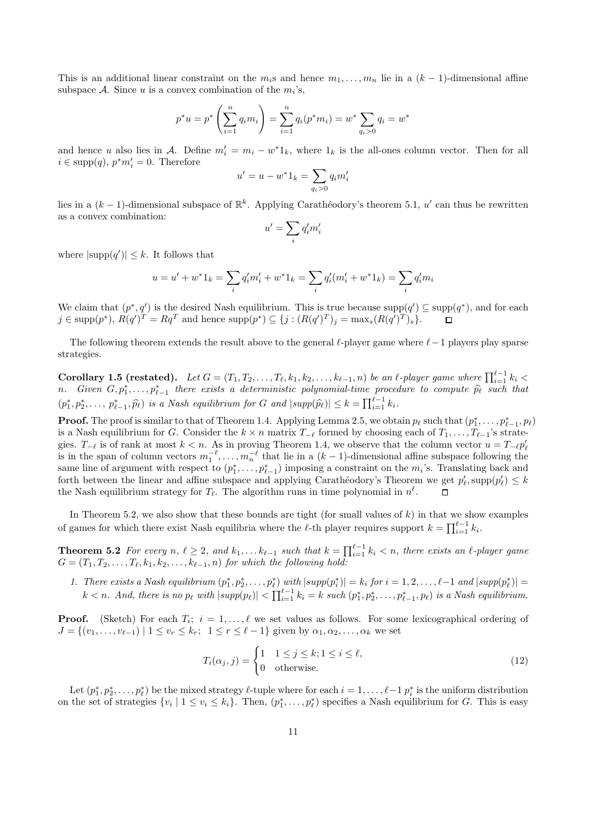This is an additional linear constraint on the  $m_i$ s and hence  $m_1, \ldots, m_n$  lie in a  $(k-1)$ -dimensional affine subspace A. Since u is a convex combination of the  $m_i$ 's,

$$
p^*u = p^* \left(\sum_{i=1}^n q_i m_i\right) = \sum_{i=1}^n q_i(p^*m_i) = w^* \sum_{q_i > 0} q_i = w^*
$$

and hence u also lies in A. Define  $m'_i = m_i - w^* 1_k$ , where  $1_k$  is the all-ones column vector. Then for all  $i \in \text{supp}(q)$ ,  $p^*m'_i = 0$ . Therefore

$$
u' = u - w^* 1_k = \sum_{q_i > 0} q_i m'_i
$$

lies in a  $(k-1)$ -dimensional subspace of  $\mathbb{R}^k$ . Applying Carathéodory's theorem 5.1, u' can thus be rewritten as a convex combination:

$$
u'=\sum_i q_i'm_i'
$$

where  $|\text{supp}(q')| \leq k$ . It follows that

$$
u = u' + w^* 1_k = \sum_i q'_i m'_i + w^* 1_k = \sum_i q'_i (m'_i + w^* 1_k) = \sum_i q'_i m_i
$$

We claim that  $(p^*, q')$  is the desired Nash equilibrium. This is true because  $supp(q') \subseteq supp(q^*)$ , and for each  $j \in \text{supp}(p^*), R(q')^T = Rq^T$  and hence  $\text{supp}(p^*) \subseteq \{j : (R(q')^T)_j = \max_s (R(q')^T)_s\}.$ 

The following theorem extends the result above to the general  $\ell$ -player game where  $\ell-1$  players play sparse strategies.

 $\textbf{Corollary 1.5 (restated)}. \quad Let \textit{G} = (T_1, T_2, \ldots, T_\ell, k_1, k_2, \ldots, k_{\ell-1}, n) \textit{ be an $\ell$-player game where } \prod_{i=1}^{\ell-1} k_i < \ell$ n. Given  $G, p_1^*, \ldots, p_{\ell-1}^*$  there exists a deterministic polynomial-time procedure to compute  $\widehat{p_\ell}$  such that  $(p_1^*, p_2^*, \ldots, p_{\ell-1}^*, \widehat{p_\ell})$  is a Nash equilibrium for G and  $|\text{supp}(\widehat{p_\ell})| \leq k = \prod_{i=1}^{\ell-1} k_i$ .

**Proof.** The proof is similar to that of Theorem 1.4. Applying Lemma 2.5, we obtain  $p_\ell$  such that  $(p_1^*, \ldots, p_{\ell-1}^*, p_\ell)$ is a Nash equilibrium for G. Consider the  $k \times n$  matrix  $T_{-\ell}$  formed by choosing each of  $T_1, \ldots, T_{\ell-1}$ 's strategies.  $T_{-\ell}$  is of rank at most  $k < n$ . As in proving Theorem 1.4, we observe that the column vector  $u = T_{-\ell} p'_{\ell}$ <br>is in the span of column vectors  $m_1^{-\ell}, \ldots, m_n^{-\ell}$  that lie in a  $(k-1)$ -dimensional affine subspace fo same line of argument with respect to  $(p_1^*, \ldots, p_{\ell-1}^*)$  imposing a constraint on the  $m_i$ 's. Translating back and forth between the linear and affine subspace and applying Carathéodory's Theorem we get  $p'_\ell$ ,  $\text{supp}(p'_\ell) \leq k$ the Nash equilibrium strategy for  $T_{\ell}$ . The algorithm runs in time polynomial in  $n^{\ell}$ .

In Theorem 5.2, we also show that these bounds are tight (for small values of  $k$ ) in that we show examples of games for which there exist Nash equilibria where the  $\ell$ -th player requires support  $k = \prod_{i=1}^{\ell-1} k_i$ .

**Theorem 5.2** For every n,  $\ell \geq 2$ , and  $k_1, \ldots k_{\ell-1}$  such that  $k = \prod_{i=1}^{\ell-1} k_i < n$ , there exists an  $\ell$ -player game  $G = (T_1, T_2, \ldots, T_\ell, k_1, k_2, \ldots, k_{\ell-1}, n)$  for which the following hold:

1. There exists a Nash equilibrium  $(p_1^*, p_2^*, \ldots, p_\ell^*)$  with  $|supp(p_i^*)| = k_i$  for  $i = 1, 2, \ldots, \ell-1$  and  $|supp(p_\ell^*)|$  =  $k < n$ . And, there is no  $p_\ell$  with  $|supp(p_\ell)| < \prod_{i=1}^{\ell-1} k_i = k$  such  $(p_1^*, p_2^*, \ldots, p_{\ell-1}^*, p_\ell)$  is a Nash equilibrium.

**Proof.** (Sketch) For each  $T_i$ ;  $i = 1, ..., \ell$  we set values as follows. For some lexicographical ordering of  $J = \{(v_1, \ldots, v_{\ell-1}) \mid 1 \le v_r \le k_r; 1 \le r \le \ell-1\}$  given by  $\alpha_1, \alpha_2, \ldots, \alpha_k$  we set

$$
T_i(\alpha_j, j) = \begin{cases} 1 & 1 \le j \le k; 1 \le i \le \ell, \\ 0 & \text{otherwise.} \end{cases}
$$
 (12)

Let  $(p_1^*, p_2^*, \ldots, p_\ell^*)$  be the mixed strategy  $\ell$ -tuple where for each  $i = 1, \ldots, \ell - 1$   $p_i^*$  is the uniform distribution on the set of strategies  $\{v_i \mid 1 \le v_i \le k_i\}$ . Then,  $(p_1^*, \ldots, p_\ell^*)$  specifies a Nash equilibrium for G. This is easy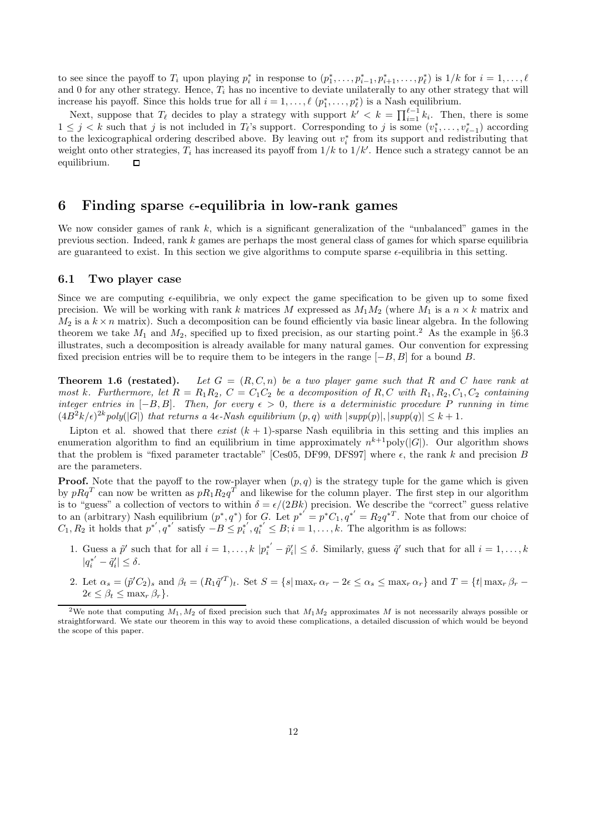to see since the payoff to  $T_i$  upon playing  $p_i^*$  in response to  $(p_1^*, \ldots, p_{i-1}^*, p_{i+1}^*, \ldots, p_\ell^*)$  is  $1/k$  for  $i = 1, \ldots, \ell$ and 0 for any other strategy. Hence,  $T_i$  has no incentive to deviate unilaterally to any other strategy that will increase his payoff. Since this holds true for all  $i = 1, \ldots, \ell$   $(p_1^*, \ldots, p_\ell^*)$  is a Nash equilibrium.

Next, suppose that  $T_\ell$  decides to play a strategy with support  $k' < k = \prod_{i=1}^{\ell-1} k_i$ . Then, there is some  $1 \leq j < k$  such that j is not included in  $T_{\ell}$ 's support. Corresponding to j is some  $(v_1^*, \ldots, v_{\ell-1}^*)$  according to the lexicographical ordering described above. By leaving out  $v_i^*$  from its support and redistributing that weight onto other strategies,  $T_i$  has increased its payoff from  $1/k$  to  $1/k'$ . Hence such a strategy cannot be an equilibrium.  $\Box$ 

# 6 Finding sparse  $\epsilon$ -equilibria in low-rank games

We now consider games of rank  $k$ , which is a significant generalization of the "unbalanced" games in the previous section. Indeed, rank k games are perhaps the most general class of games for which sparse equilibria are guaranteed to exist. In this section we give algorithms to compute sparse  $\epsilon$ -equilibria in this setting.

#### 6.1 Two player case

Since we are computing  $\epsilon$ -equilibria, we only expect the game specification to be given up to some fixed precision. We will be working with rank k matrices M expressed as  $M_1M_2$  (where  $M_1$  is a  $n \times k$  matrix and  $M_2$  is a  $k \times n$  matrix). Such a decomposition can be found efficiently via basic linear algebra. In the following theorem we take  $M_1$  and  $M_2$ , specified up to fixed precision, as our starting point.<sup>2</sup> As the example in §6.3 illustrates, such a decomposition is already available for many natural games. Our convention for expressing fixed precision entries will be to require them to be integers in the range  $[-B, B]$  for a bound B.

**Theorem 1.6 (restated).** Let  $G = (R, C, n)$  be a two player game such that R and C have rank at most k. Furthermore, let  $R = R_1R_2$ ,  $C = C_1C_2$  be a decomposition of R, C with  $R_1, R_2, C_1, C_2$  containing integer entries in  $[-B, B]$ . Then, for every  $\epsilon > 0$ , there is a deterministic procedure P running in time  $(4B^2k/\epsilon)^{2k}$  poly $(|G|)$  that returns a 4 $\epsilon$ -Nash equilibrium  $(p, q)$  with  $|supp(p)|, |supp(q)| \leq k+1$ .

Lipton et al. showed that there exist  $(k + 1)$ -sparse Nash equilibria in this setting and this implies an enumeration algorithm to find an equilibrium in time approximately  $n^{k+1}$ poly( $|G|$ ). Our algorithm shows that the problem is "fixed parameter tractable" [Ces05, DF99, DFS97] where  $\epsilon$ , the rank k and precision B are the parameters.

**Proof.** Note that the payoff to the row-player when  $(p, q)$  is the strategy tuple for the game which is given by  $pRq^T$  can now be written as  $pR_1R_2q^T$  and likewise for the column player. The first step in our algorithm is to "guess" a collection of vectors to within  $\delta = \epsilon/(2Bk)$  precision. We describe the "correct" guess relative to an (arbitrary) Nash equilibrium  $(p^*, q^*)$  for G. Let  $p^{*'} = p^*C_1, q^{*'} = R_2q^{*T}$ . Note that from our choice of  $C_1, R_2$  it holds that  $p^{*'}$ ,  $q^{*'}$  satisfy  $-B \leq p^{*'}_i$  $i<sub>i</sub><sup>*</sup>, q<sub>i</sub><sup>*</sup> \leq B; i = 1, ..., k$ . The algorithm is as follows:

- 1. Guess a  $\tilde{p}'$  such that for all  $i = 1, ..., k |p_i^{*'} \tilde{p}_i'| \leq \delta$ . Similarly, guess  $\tilde{q}'$  such that for all  $i = 1, ..., k$  $|q_i^{*'} - \tilde{q}'_i| \leq \delta.$
- 2. Let  $\alpha_s = (\tilde{p}'C_2)_s$  and  $\beta_t = (R_1\tilde{q}^{T})_t$ . Set  $S = \{s | \max_r \alpha_r 2\epsilon \leq \alpha_s \leq \max_r \alpha_r \}$  and  $T = \{t | \max_r \beta_r 2\epsilon \leq \alpha_s \leq \max_r \alpha_s \}$  $2\epsilon < \beta_t < \max_r \beta_r$ .

<sup>&</sup>lt;sup>2</sup>We note that computing  $M_1, M_2$  of fixed precision such that  $M_1M_2$  approximates M is not necessarily always possible or straightforward. We state our theorem in this way to avoid these complications, a detailed discussion of which would be beyond the scope of this paper.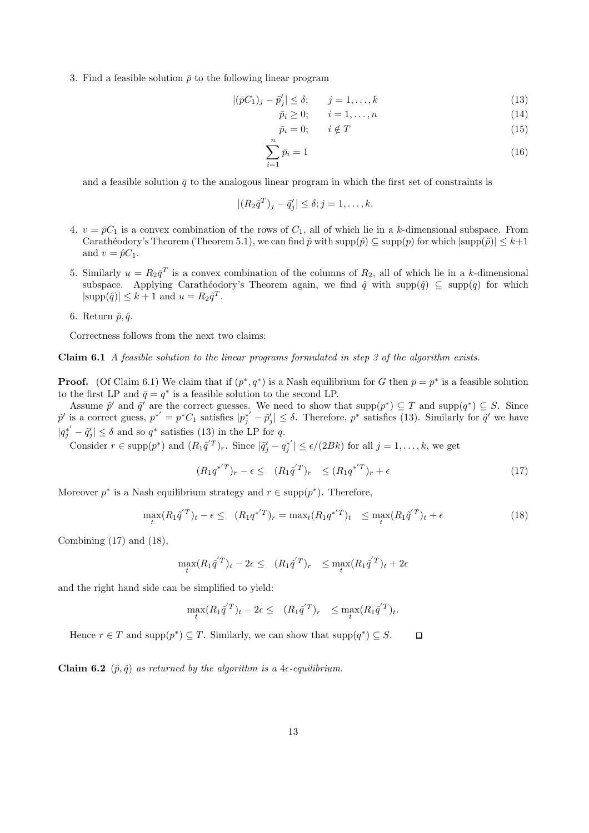3. Find a feasible solution  $\bar{p}$  to the following linear program

$$
|(\bar{p}C_1)_j - \tilde{p}_j'| \le \delta; \qquad j = 1, \dots, k
$$
\n(13)

$$
\bar{p}_i \ge 0; \qquad i = 1, \dots, n \tag{14}
$$

$$
\bar{p}_i = 0; \qquad i \notin T \tag{15}
$$

$$
\sum_{i=1}^{n} \bar{p}_i = 1 \tag{16}
$$

and a feasible solution  $\bar{q}$  to the analogous linear program in which the first set of constraints is

$$
|(R_2\bar{q}^T)_j - \tilde{q}'_j| \leq \delta; j = 1, \dots, k.
$$

- 4.  $v = \bar{p}C_1$  is a convex combination of the rows of  $C_1$ , all of which lie in a k-dimensional subspace. From Carathéodory's Theorem (Theorem 5.1), we can find  $\hat{p}$  with  $\text{supp}(\hat{p}) \subseteq \text{supp}(p)$  for which  $|\text{supp}(\hat{p})| \leq k+1$ and  $v = \hat{p}C_1$ .
- 5. Similarly  $u = R_2 \bar{q}^T$  is a convex combination of the columns of  $R_2$ , all of which lie in a k-dimensional subspace. Applying Carathéodory's Theorem again, we find  $\hat{q}$  with supp $(\hat{q}) \subseteq \text{supp}(q)$  for which  $|\text{supp}(\hat{q})| \leq k+1$  and  $u = R_2 \hat{q}^T$ .
- 6. Return  $\hat{p}, \hat{q}$ .

Correctness follows from the next two claims:

Claim 6.1 A feasible solution to the linear programs formulated in step 3 of the algorithm exists.

**Proof.** (Of Claim 6.1) We claim that if  $(p^*, q^*)$  is a Nash equilibrium for G then  $\bar{p} = p^*$  is a feasible solution to the first LP and  $\bar{q} = q^*$  is a feasible solution to the second LP.

Assume  $\tilde{p}'$  and  $\tilde{q}'$  are the correct guesses. We need to show that  $\text{supp}(p^*) \subseteq T$  and  $\text{supp}(q^*) \subseteq S$ . Since  $\tilde{p}'$  is a correct guess,  $p^{*'} = p^*C_1$  satisfies  $|p_j^{*'} - \tilde{p}_j'|\leq \delta$ . Therefore,  $p^*$  satisfies (13). Similarly for  $\tilde{q}'$  we have  $|q_j^{*'} - \tilde{q}_j'| \leq \delta$  and so  $q^*$  satisfies (13) in the LP for q.

Consider  $r \in \text{supp}(p^*)$  and  $(R_1 \tilde{q}^T)_r$ . Since  $|\tilde{q}'_j - q^{*'}_j|$  $|j \choose j \leq \epsilon/(2Bk)$  for all  $j = 1, \ldots, k$ , we get

$$
(R_1 q^{*'}T)_r - \epsilon \le (R_1 \tilde{q}^{'T})_r \le (R_1 q^{*'}T)_r + \epsilon
$$
\n(17)

Moreover  $p^*$  is a Nash equilibrium strategy and  $r \in \text{supp}(p^*)$ . Therefore,

$$
\max_{t} (R_1 \tilde{q}^{'T})_t - \epsilon \leq (R_1 q^{*'} T)_r = \max_{t} (R_1 q^{*'} T)_t \leq \max_{t} (R_1 \tilde{q}^{'T})_t + \epsilon
$$
\n(18)

Combining  $(17)$  and  $(18)$ ,

$$
\max_t (R_1 \tilde{q}^{'T})_t - 2\epsilon \leq (R_1 \tilde{q}^{'T})_r \leq \max_t (R_1 \tilde{q}^{'T})_t + 2\epsilon
$$

and the right hand side can be simplified to yield:

$$
\max_t (R_1 \tilde{q}^{'T})_t - 2\epsilon \leq (R_1 \tilde{q}^{'T})_r \leq \max_t (R_1 \tilde{q}^{'T})_t.
$$

Hence  $r \in T$  and  $\text{supp}(p^*) \subseteq T$ . Similarly, we can show that  $\text{supp}(q^*) \subseteq S$ .  $\Box$ 

Claim 6.2  $(\hat{p}, \hat{q})$  as returned by the algorithm is a 4 $\epsilon$ -equilibrium.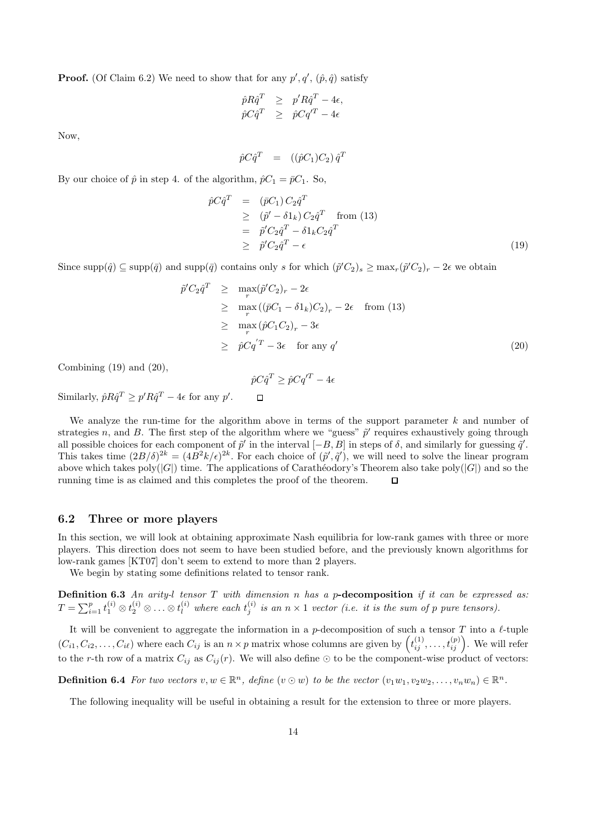**Proof.** (Of Claim 6.2) We need to show that for any  $p', q', (p, \hat{q})$  satisfy

$$
\begin{array}{rcl}\n\hat{p}R\hat{q}^T & \geq & p'R\hat{q}^T - 4\epsilon, \\
\hat{p}C\hat{q}^T & \geq & \hat{p}Cq'^T - 4\epsilon\n\end{array}
$$

Now,

$$
\hat{p} C \hat{q}^T = (\hat{p} C_1) C_2) \hat{q}^T
$$

By our choice of  $\hat{p}$  in step 4. of the algorithm,  $\hat{p}C_1 = \overline{p}C_1$ . So,

$$
\hat{p}C\hat{q}^T = (\bar{p}C_1) C_2 \hat{q}^T
$$
\n
$$
\geq (\tilde{p}' - \delta 1_k) C_2 \hat{q}^T \quad \text{from (13)}
$$
\n
$$
= \tilde{p}' C_2 \hat{q}^T - \delta 1_k C_2 \hat{q}^T
$$
\n
$$
\geq \tilde{p}' C_2 \hat{q}^T - \epsilon
$$
\n(19)

Since  $\text{supp}(\hat{q}) \subseteq \text{supp}(\bar{q})$  and  $\text{supp}(\bar{q})$  contains only s for which  $(\tilde{p}'C_2)_s \ge \max_r (\tilde{p}'C_2)_r - 2\epsilon$  we obtain

$$
\tilde{p}'C_2\hat{q}^T \geq \max_r (\tilde{p}'C_2)_r - 2\epsilon
$$
\n
$$
\geq \max_r ((\bar{p}C_1 - \delta 1_k)C_2)_r - 2\epsilon \quad \text{from (13)}
$$
\n
$$
\geq \max_r (\hat{p}C_1C_2)_r - 3\epsilon
$$
\n
$$
\geq \hat{p}Cq^{'T} - 3\epsilon \quad \text{for any } q'
$$
\n(20)

Combining  $(19)$  and  $(20)$ ,

$$
\hat{p}C\hat{q}^T \ge \hat{p}Cq'^T - 4\epsilon
$$

Similarly,  $\hat{p}R\hat{q}^T \geq p'R\hat{q}^T - 4\epsilon$  for any  $p'$ .

We analyze the run-time for the algorithm above in terms of the support parameter  $k$  and number of strategies n, and B. The first step of the algorithm where we "guess"  $\tilde{p}'$  requires exhaustively going through all possible choices for each component of  $\tilde{p}'$  in the interval  $[-B, B]$  in steps of  $\delta$ , and similarly for guessing  $\tilde{q}'$ . This takes time  $(2B/\delta)^{2k} = (4B^2k/\epsilon)^{2k}$ . For each choice of  $(\tilde{p}', \tilde{q}')$ , we will need to solve the linear program above which takes poly( $|G|$ ) time. The applications of Carathéodory's Theorem also take poly( $|G|$ ) and so the running time is as claimed and this completes the proof of the theorem.  $\Box$ 

## 6.2 Three or more players

In this section, we will look at obtaining approximate Nash equilibria for low-rank games with three or more players. This direction does not seem to have been studied before, and the previously known algorithms for low-rank games [KT07] don't seem to extend to more than 2 players.

We begin by stating some definitions related to tensor rank.

**Definition 6.3** An arity-l tensor T with dimension n has a p-decomposition if it can be expressed as:  $T = \sum_{i=1}^p t_1^{(i)} \otimes t_2^{(i)} \otimes \ldots \otimes t_l^{(i)}$  where each  $t_j^{(i)}$  $j_j^{(i)}$  is an  $n \times 1$  vector (i.e. it is the sum of p pure tensors).

It will be convenient to aggregate the information in a p-decomposition of such a tensor  $T$  into a  $\ell$ -tuple  $(C_{i1}, C_{i2}, \ldots, C_{i\ell})$  where each  $C_{ij}$  is an  $n \times p$  matrix whose columns are given by  $\left(t_{ij}^{(1)}, \ldots, t_{ij}^{(p)}\right)$ . We will refer to the r-th row of a matrix  $C_{ij}$  as  $C_{ij}(r)$ . We will also define  $\odot$  to be the component-wise product of vectors:

**Definition 6.4** For two vectors  $v, w \in \mathbb{R}^n$ , define  $(v \odot w)$  to be the vector  $(v_1w_1, v_2w_2, \ldots, v_nw_n) \in \mathbb{R}^n$ .

The following inequality will be useful in obtaining a result for the extension to three or more players.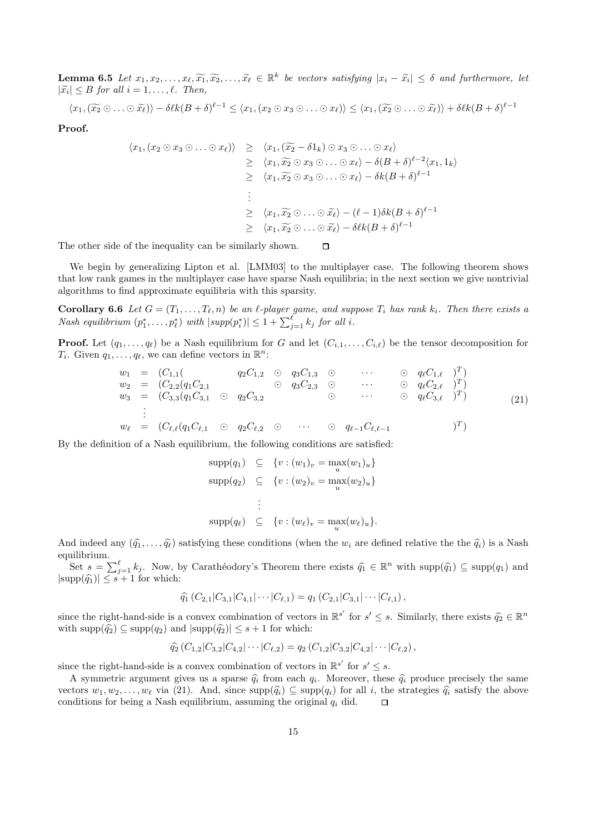**Lemma 6.5** Let  $x_1, x_2, \ldots, x_\ell, \widetilde{x_1}, \widetilde{x_2}, \ldots, \widetilde{x_\ell} \in \mathbb{R}^k$  be vectors satisfying  $|x_i - \widetilde{x_i}| \leq \delta$  and furthermore, let  $|\widetilde{x}_i| \leq B$  for all  $i = 1, \ldots, \ell$ . Then,

$$
\langle x_1, (\widetilde{x_2} \odot \ldots \odot \widetilde{x_{\ell}}) \rangle - \delta \ell k (B + \delta)^{\ell-1} \leq \langle x_1, (x_2 \odot x_3 \odot \ldots \odot x_{\ell}) \rangle \leq \langle x_1, (\widetilde{x_2} \odot \ldots \odot \widetilde{x_{\ell}}) \rangle + \delta \ell k (B + \delta)^{\ell-1}
$$

Proof.

$$
\langle x_1, (x_2 \odot x_3 \odot \ldots \odot x_{\ell}) \rangle \geq \langle x_1, (\widetilde{x_2} - \delta 1_k) \odot x_3 \odot \ldots \odot x_{\ell} \rangle
$$
  
\n
$$
\geq \langle x_1, \widetilde{x_2} \odot x_3 \odot \ldots \odot x_{\ell} \rangle - \delta (B + \delta)^{\ell - 2} \langle x_1, 1_k \rangle
$$
  
\n
$$
\geq \langle x_1, \widetilde{x_2} \odot x_3 \odot \ldots \odot x_{\ell} \rangle - \delta k (B + \delta)^{\ell - 1}
$$
  
\n:  
\n:  
\n
$$
\langle x_1, \widetilde{x_2} \odot x_3 \odot \ldots \odot \widetilde{x_{\ell}} \rangle - (\ell - 1) \delta k (B + \delta)^{\ell - 1}
$$
  
\n
$$
\geq \langle x_1, \widetilde{x_2} \odot \ldots \odot \widetilde{x_{\ell}} \rangle - \delta \ell k (B + \delta)^{\ell - 1}
$$

The other side of the inequality can be similarly shown.  $\Box$ 

We begin by generalizing Lipton et al. [LMM03] to the multiplayer case. The following theorem shows that low rank games in the multiplayer case have sparse Nash equilibria; in the next section we give nontrivial algorithms to find approximate equilibria with this sparsity.

**Corollary 6.6** Let  $G = (T_1, \ldots, T_\ell, n)$  be an  $\ell$ -player game, and suppose  $T_i$  has rank  $k_i$ . Then there exists a Nash equilibrium  $(p_1^*, \ldots, p_\ell^*)$  with  $|supp(p_i^*)| \leq 1 + \sum_{j=1}^{\ell} k_j$  for all i.

**Proof.** Let  $(q_1, \ldots, q_\ell)$  be a Nash equilibrium for G and let  $(C_{i,1}, \ldots, C_{i,\ell})$  be the tensor decomposition for  $T_i$ . Given  $q_1, \ldots, q_\ell$ , we can define vectors in  $\mathbb{R}^n$ :

w<sup>1</sup> = (C1,1( q2C1,<sup>2</sup>  q3C1,<sup>3</sup>  · · ·  q`C1,` ) T ) w<sup>2</sup> = (C2,2(q1C2,<sup>1</sup>  q3C2,<sup>3</sup>  · · ·  q`C2,` ) T ) w<sup>3</sup> = (C3,3(q1C3,<sup>1</sup>  q2C3,<sup>2</sup>  · · ·  q`C3,` ) T ) . . . w` = (C`,`(q1C`,<sup>1</sup>  q2C`,<sup>2</sup>  · · ·  q`−1C`,`−<sup>1</sup> ) T ) (21)

By the definition of a Nash equilibrium, the following conditions are satisfied:

$$
\text{supp}(q_1) \subseteq \{v : (w_1)_v = \max_u(w_1)_u\}
$$

$$
\text{supp}(q_2) \subseteq \{v : (w_2)_v = \max_u(w_2)_u\}
$$

$$
\vdots
$$

$$
\text{supp}(q_\ell) \subseteq \{v : (w_\ell)_v = \max_u(w_\ell)_u\}.
$$

And indeed any  $(\hat{q}_1, \ldots, \hat{q}_\ell)$  satisfying these conditions (when the  $w_i$  are defined relative the  $\hat{q}_i$ ) is a Nash equilibrium.

Set  $s = \sum_{j=1}^{\ell} k_j$ . Now, by Carathéodory's Theorem there exists  $\hat{q}_1 \in \mathbb{R}^n$  with  $\text{supp}(\hat{q}_1) \subseteq \text{supp}(q_1)$  and  $|\text{supp}(\widehat{q_1})| \leq s + 1$  for which:

$$
\widehat{q_1}(C_{2,1}|C_{3,1}|C_{4,1}|\cdots|C_{\ell,1})=q_1(C_{2,1}|C_{3,1}|\cdots|C_{\ell,1}),
$$

since the right-hand-side is a convex combination of vectors in  $\mathbb{R}^{s'}$  for  $s' \leq s$ . Similarly, there exists  $\widehat{q}_2 \in \mathbb{R}^n$ with  $\text{supp}(\hat{q}_2) \subseteq \text{supp}(q_2)$  and  $|\text{supp}(\hat{q}_2)| \leq s + 1$  for which:

$$
\widehat{q_2}(C_{1,2}|C_{3,2}|C_{4,2}|\cdots|C_{\ell,2})=q_2(C_{1,2}|C_{3,2}|C_{4,2}|\cdots|C_{\ell,2}),
$$

since the right-hand-side is a convex combination of vectors in  $\mathbb{R}^{s'}$  for  $s' \leq s$ .

A symmetric argument gives us a sparse  $\hat{q}_i$  from each  $q_i$ . Moreover, these  $\hat{q}_i$  produce precisely the same vectors  $w_1, w_2, \ldots, w_\ell$  via (21). And, since  $\text{supp}(\hat{q}_i) \subseteq \text{supp}(q_i)$  for all i, the strategies  $\hat{q}_i$  satisfy the above conditions for being a Nash equilibrium, assuming the original  $q_i$  did. conditions for being a Nash equilibrium, assuming the original  $q_i$  did.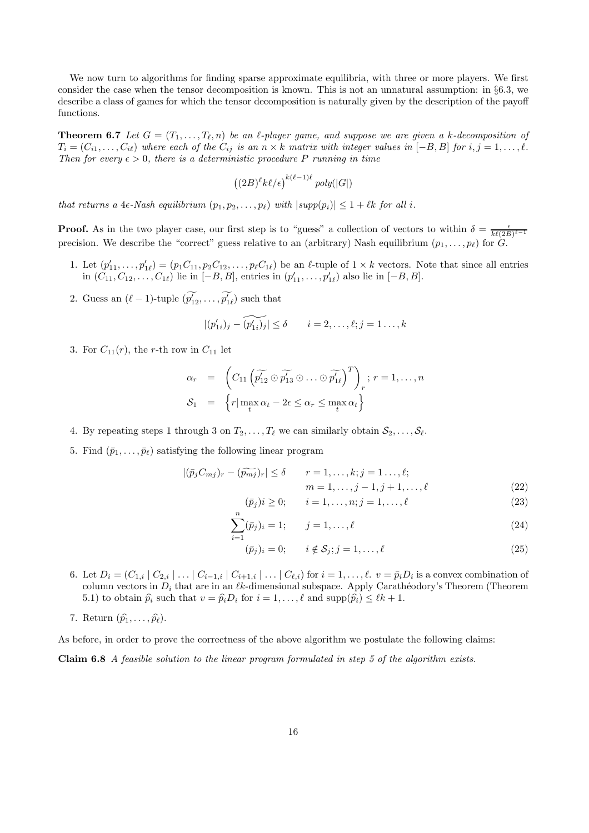We now turn to algorithms for finding sparse approximate equilibria, with three or more players. We first consider the case when the tensor decomposition is known. This is not an unnatural assumption: in §6.3, we describe a class of games for which the tensor decomposition is naturally given by the description of the payoff functions.

**Theorem 6.7** Let  $G = (T_1, \ldots, T_\ell, n)$  be an  $\ell$ -player game, and suppose we are given a k-decomposition of  $T_i = (C_{i1}, \ldots, C_{i\ell})$  where each of the  $C_{ij}$  is an  $n \times k$  matrix with integer values in  $[-B, B]$  for  $i, j = 1, \ldots, \ell$ . Then for every  $\epsilon > 0$ , there is a deterministic procedure P running in time

$$
((2B)^{\ell}k\ell/\epsilon)^{k(\ell-1)\ell} \mathop{poly}(|G|)
$$

that returns a 4 $\epsilon$ -Nash equilibrium  $(p_1, p_2, \ldots, p_\ell)$  with  $|supp(p_i)| \leq 1 + \ell k$  for all i.

**Proof.** As in the two player case, our first step is to "guess" a collection of vectors to within  $\delta = \frac{\epsilon}{k\ell(2B)^{\ell-1}}$ precision. We describe the "correct" guess relative to an (arbitrary) Nash equilibrium  $(p_1, \ldots, p_\ell)$  for  $G$ .

- 1. Let  $(p'_{11},...,p'_{1\ell}) = (p_1C_{11},p_2C_{12},...,p_{\ell}C_{1\ell})$  be an  $\ell$ -tuple of  $1 \times k$  vectors. Note that since all entries in  $(C_{11}, C_{12}, \ldots, C_{1\ell})$  lie in  $[-B, B]$ , entries in  $(p'_{11}, \ldots, p'_{1\ell})$  also lie in  $[-B, B]$ .
- 2. Guess an  $(\ell 1)$ -tuple  $(\widetilde{p'_{12}}, \ldots, \widetilde{p'_{1\ell}})$  such that

$$
|(p'_{1i})_j - \widetilde{(p'_{1i})_j}| \le \delta \qquad i = 2, \ldots, \ell; j = 1 \ldots, k
$$

3. For  $C_{11}(r)$ , the r-th row in  $C_{11}$  let

$$
\alpha_r = \left( C_{11} \left( \widetilde{p'_{12}} \odot \widetilde{p'_{13}} \odot \ldots \odot \widetilde{p'_{1\ell}} \right)^T \right)_r; r = 1, \ldots, n
$$
  

$$
\mathcal{S}_1 = \left\{ r | \max_t \alpha_t - 2\epsilon \le \alpha_r \le \max_t \alpha_t \right\}
$$

4. By repeating steps 1 through 3 on  $T_2, \ldots, T_\ell$  we can similarly obtain  $\mathcal{S}_2, \ldots, \mathcal{S}_\ell$ .

 $\overline{n}$ 

5. Find  $(\bar{p}_1, \ldots, \bar{p}_\ell)$  satisfying the following linear program

$$
|(\bar{p}_j C_{mj})_r - (\widetilde{p_{mj}})_r| \le \delta \qquad r = 1, \ldots, k; j = 1 \ldots, \ell;
$$

$$
m = 1, \dots, j - 1, j + 1, \dots, \ell
$$
 (22)

$$
(\bar{p}_j)i \ge 0; \qquad i = 1, \dots, n; j = 1, \dots, \ell
$$
\n(23)

$$
\sum_{i=1} (\bar{p}_j)_i = 1; \qquad j = 1, \dots, \ell
$$
\n(24)

$$
(\bar{p}_j)_i = 0; \qquad i \notin \mathcal{S}_j; j = 1, \dots, \ell
$$
\n
$$
(25)
$$

- 6. Let  $D_i = (C_{1,i} | C_{2,i} | \dots | C_{i-1,i} | C_{i+1,i} | \dots | C_{\ell,i})$  for  $i = 1, \dots, \ell$ .  $v = \bar{p}_i D_i$  is a convex combination of column vectors in  $D_i$  that are in an  $\ell k$ -dimensional subspace. Apply Carathéodory's Theorem (Theorem 5.1) to obtain  $\hat{p}_i$  such that  $v = \hat{p}_i D_i$  for  $i = 1, ..., \ell$  and  $\text{supp}(\hat{p}_i) \leq \ell k + 1$ .
- 7. Return  $(\widehat{p}_1, \ldots, \widehat{p}_\ell)$ .

As before, in order to prove the correctness of the above algorithm we postulate the following claims:

Claim 6.8 A feasible solution to the linear program formulated in step 5 of the algorithm exists.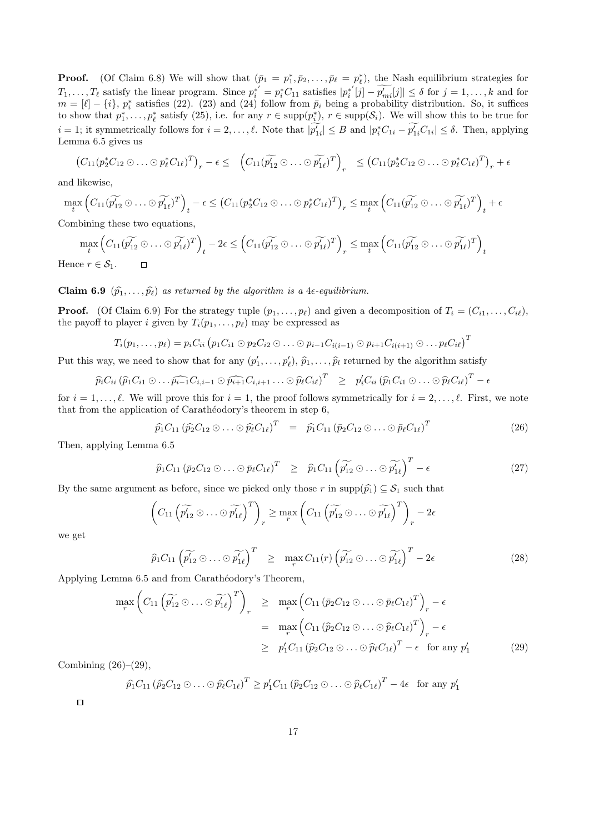**Proof.** (Of Claim 6.8) We will show that  $(\bar{p}_1 = p_1^*, \bar{p}_2, \dots, \bar{p}_\ell = p_\ell^*)$ , the Nash equilibrium strategies for  $T_1, \ldots, T_\ell$  satisfy the linear program. Since  $p_i^{*'} = p_i^* C_{11}$  satisfies  $|p_i^{*'}|$  $\binom{1}{i}[j] - p'_{mi}[j] \leq \delta$  for  $j = 1, ..., k$  and for  $m = [\ell] - \{i\}, p_i^*$  satisfies (22). (23) and (24) follow from  $\bar{p}_i$  being a probability distribution. So, it suffices to show that  $p_1^*,\ldots,p_\ell^*$  satisfy  $(25)$ , i.e. for any  $r \in \text{supp}(p_i^*)$ ,  $r \in \text{supp}(\mathcal{S}_i)$ . We will show this to be true for  $i = 1$ ; it symmetrically follows for  $i = 2, \ldots, \ell$ . Note that  $|\widetilde{p'_{1i}}| \leq B$  and  $|p_i^* C_{1i} - \widetilde{p'_{1i}} C_{1i}| \leq \delta$ . Then, applying Lemma 6.5 gives us

$$
(C_{11}(p_2^*C_{12}\odot\ldots\odot p_\ell^*C_{1\ell})^T)_r - \epsilon \leq (C_{11}(\widetilde{p_{12}}\odot\ldots\odot\widetilde{p_{1\ell}})^T)_r \leq (C_{11}(p_2^*C_{12}\odot\ldots\odot p_\ell^*C_{1\ell})^T)_r + \epsilon
$$

and likewise,

$$
\max_{t} \left( C_{11}(\widetilde{p_{12}'} \odot \ldots \odot \widetilde{p_{1\ell}})^{T} \right)_{t} - \epsilon \leq \left( C_{11}(\widetilde{p_{2}'} C_{12} \odot \ldots \odot \widetilde{p_{\ell}'} C_{1\ell})^{T} \right)_{r} \leq \max_{t} \left( C_{11}(\widetilde{p_{12}'} \odot \ldots \odot \widetilde{p_{1\ell}'})^{T} \right)_{t} + \epsilon
$$

Combining these two equations,

$$
\max_{t} \left( C_{11}(\widetilde{p_{12}} \odot \ldots \odot \widetilde{p_{1\ell}})^{T} \right)_{t} - 2\epsilon \leq \left( C_{11}(\widetilde{p_{12}} \odot \ldots \odot \widetilde{p_{1\ell}})^{T} \right)_{r} \leq \max_{t} \left( C_{11}(\widetilde{p_{12}} \odot \ldots \odot \widetilde{p_{1\ell}})^{T} \right)_{t}
$$
  
ce  $r \in \mathcal{S}_{1}$ .

Hence  $r \in \mathcal{S}_1$ .

### **Claim 6.9**  $(\widehat{p}_1, \ldots, \widehat{p}_\ell)$  as returned by the algorithm is a 4 $\epsilon$ -equilibrium.

**Proof.** (Of Claim 6.9) For the strategy tuple  $(p_1, \ldots, p_\ell)$  and given a decomposition of  $T_i = (C_{i1}, \ldots, C_{i\ell}),$ the payoff to player i given by  $T_i(p_1, \ldots, p_\ell)$  may be expressed as

$$
T_i(p_1,...,p_\ell) = p_i C_{ii} (p_1 C_{i1} \odot p_2 C_{i2} \odot ... \odot p_{i-1} C_{i(i-1)} \odot p_{i+1} C_{i(i+1)} \odot ... p_\ell C_{i\ell})^T
$$

Put this way, we need to show that for any  $(p'_1, \ldots, p'_\ell), \hat{p}_1, \ldots, \hat{p}_l$  returned by the algorithm satisfy

$$
\widehat{p}_i C_{ii} \left( \widehat{p}_1 C_{i1} \odot \ldots \widehat{p_{i-1}} C_{i,i-1} \odot \widehat{p_{i+1}} C_{i,i+1} \ldots \odot \widehat{p}_{\ell} C_{i\ell} \right)^T \quad \geq \quad p'_i C_{ii} \left( \widehat{p}_1 C_{i1} \odot \ldots \odot \widehat{p}_{\ell} C_{i\ell} \right)^T -
$$

for  $i = 1, \ldots, \ell$ . We will prove this for  $i = 1$ , the proof follows symmetrically for  $i = 2, \ldots, \ell$ . First, we note that from the application of Carathéodory's theorem in step 6,

$$
\widehat{p}_1 C_{11} \left( \widehat{p}_2 C_{12} \odot \ldots \odot \widehat{p}_\ell C_{1\ell} \right)^T = \widehat{p}_1 C_{11} \left( \overline{p}_2 C_{12} \odot \ldots \odot \overline{p}_\ell C_{1\ell} \right)^T \tag{26}
$$

 $\epsilon$ 

Then, applying Lemma 6.5

$$
\widehat{p}_1 C_{11} \left( \overline{p}_2 C_{12} \odot \ldots \odot \overline{p}_\ell C_{1\ell} \right)^T \quad \geq \quad \widehat{p}_1 C_{11} \left( \widetilde{p'_{12}} \odot \ldots \odot \widetilde{p'_{1\ell}} \right)^T - \epsilon \tag{27}
$$

By the same argument as before, since we picked only those r in supp $(\hat{p}_1) \subseteq S_1$  such that

$$
\left(C_{11}\left(\widetilde{p'_{12}}\odot\ldots\odot\widetilde{p'_{1\ell}}\right)^T\right)_r\geq \max_r\left(C_{11}\left(\widetilde{p'_{12}}\odot\ldots\odot\widetilde{p'_{1\ell}}\right)^T\right)_r-2\epsilon
$$

we get

$$
\widehat{p}_1 C_{11} \left( \widetilde{p'_{12}} \odot \ldots \odot \widetilde{p'_{1\ell}} \right)^T \ge \max_r C_{11}(r) \left( \widetilde{p'_{12}} \odot \ldots \odot \widetilde{p'_{1\ell}} \right)^T - 2\epsilon
$$
\n(28)

Applying Lemma 6.5 and from Carathéodory's Theorem,

$$
\max_{r} \left( C_{11} \left( \widetilde{p_{12}} \odot \ldots \odot \widetilde{p_{1\ell}} \right)^{T} \right)_{r} \geq \max_{r} \left( C_{11} \left( \overline{p}_{2} C_{12} \odot \ldots \odot \overline{p}_{\ell} C_{1\ell} \right)^{T} \right)_{r} - \epsilon
$$
\n
$$
= \max_{r} \left( C_{11} \left( \widehat{p}_{2} C_{12} \odot \ldots \odot \widehat{p}_{\ell} C_{1\ell} \right)^{T} \right)_{r} - \epsilon
$$
\n
$$
\geq p_{1}^{\prime} C_{11} \left( \widehat{p}_{2} C_{12} \odot \ldots \odot \widehat{p}_{\ell} C_{1\ell} \right)^{T} - \epsilon \text{ for any } p_{1}^{\prime} \tag{29}
$$

Combining  $(26)-(29)$ ,

$$
\widehat{p}_1 C_{11} \left( \widehat{p}_2 C_{12} \odot \ldots \odot \widehat{p}_\ell C_{1\ell} \right)^T \ge p_1' C_{11} \left( \widehat{p}_2 C_{12} \odot \ldots \odot \widehat{p}_\ell C_{1\ell} \right)^T - 4\epsilon \text{ for any } p_1'
$$

 $\Box$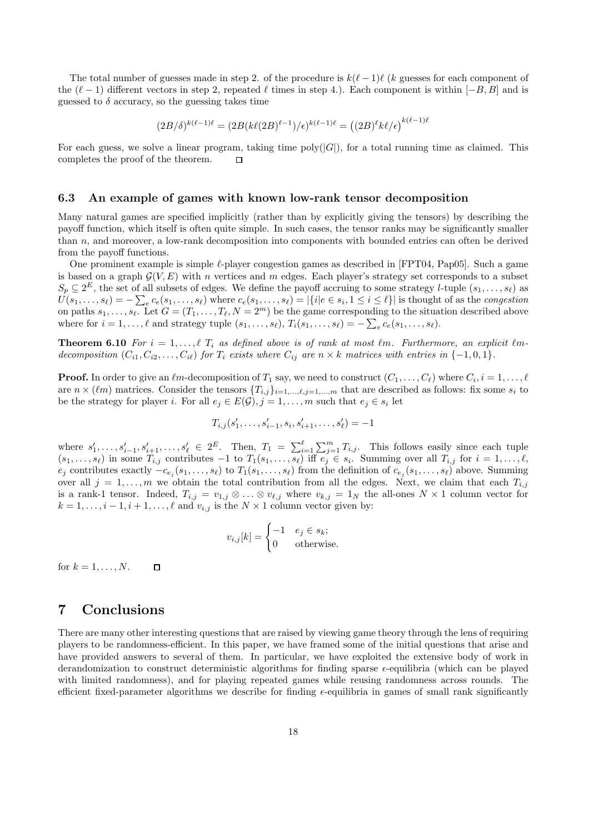The total number of guesses made in step 2. of the procedure is  $k(\ell - 1)\ell$  (k guesses for each component of the  $(\ell - 1)$  different vectors in step 2, repeated  $\ell$  times in step 4.). Each component is within  $[-B, B]$  and is guessed to  $\delta$  accuracy, so the guessing takes time

$$
(2B/\delta)^{k(\ell-1)\ell} = (2B(k\ell(2B)^{\ell-1})/\epsilon)^{k(\ell-1)\ell} = ((2B)^{\ell}k\ell/\epsilon)^{k(\ell-1)\ell}
$$

For each guess, we solve a linear program, taking time  $\text{poly}(|G|)$ , for a total running time as claimed. This completes the proof of the theorem.  $\Box$ 

#### 6.3 An example of games with known low-rank tensor decomposition

Many natural games are specified implicitly (rather than by explicitly giving the tensors) by describing the payoff function, which itself is often quite simple. In such cases, the tensor ranks may be significantly smaller than n, and moreover, a low-rank decomposition into components with bounded entries can often be derived from the payoff functions.

One prominent example is simple  $\ell$ -player congestion games as described in [FPT04, Pap05]. Such a game is based on a graph  $\mathcal{G}(V, E)$  with n vertices and m edges. Each player's strategy set corresponds to a subset  $S_p \subseteq 2^E$ , the set of all subsets of edges. We define the payoff accruing to some strategy *l*-tuple  $(s_1, \ldots, s_\ell)$  as  $U(s_1, \ldots, s_\ell) = -\sum_e c_e(s_1, \ldots, s_\ell)$  where  $c_e(s_1, \ldots, s_\ell) = |\{i|e \in s_i, 1 \leq i \leq \ell\}|$  is thought of as the *congestion* on paths  $s_1, \ldots, s_\ell$ . Let  $G = (T_1, \ldots, T_\ell, N = 2^m)$  be the game corresponding to the situation described above where for  $i = 1, \ldots, \ell$  and strategy tuple  $(s_1, \ldots, s_\ell), T_i(s_1, \ldots, s_\ell) = -\sum_{e} c_e(s_1, \ldots, s_\ell).$ 

**Theorem 6.10** For  $i = 1, ..., \ell$   $T_i$  as defined above is of rank at most  $\ell$ m. Furthermore, an explicit  $\ell$ mdecomposition  $(C_{i1}, C_{i2}, \ldots, C_{i\ell})$  for  $T_i$  exists where  $C_{ij}$  are  $n \times k$  matrices with entries in  $\{-1, 0, 1\}$ .

**Proof.** In order to give an  $\ell m$ -decomposition of  $T_1$  say, we need to construct  $(C_1, \ldots, C_\ell)$  where  $C_i, i = 1, \ldots, \ell$ are  $n \times (\ell m)$  matrices. Consider the tensors  $\{T_{i,j}\}_{i=1,\dots,\ell,j=1,\dots,m}$  that are described as follows: fix some  $s_i$  to be the strategy for player *i*. For all  $e_j \in E(\mathcal{G}), j = 1, \ldots, m$  such that  $e_j \in s_i$  let

$$
T_{i,j}(s'_1,\ldots,s'_{i-1},s_i,s'_{i+1},\ldots,s'_\ell)=-1
$$

where  $s'_1, \ldots, s'_{i-1}, s'_{i+1}, \ldots, s'_{\ell} \in 2^E$ . Then,  $T_1 = \sum_{i=1}^{\ell} \sum_{j=1}^{m} T_{i,j}$ . This follows easily since each tuple  $(s_1, \ldots, s_\ell)$  in some  $T_{i,j}$  contributes  $-1$  to  $T_1(s_1, \ldots, s_\ell)$  iff  $e_j \in s_i$ . Summing over all  $T_{i,j}$  for  $i = 1, \ldots, \ell$ ,  $e_j$  contributes exactly  $-c_{e_j}(s_1,\ldots,s_\ell)$  to  $T_1(s_1,\ldots,s_\ell)$  from the definition of  $c_{e_j}(s_1,\ldots,s_\ell)$  above. Summing over all  $j = 1, \ldots, m$  we obtain the total contribution from all the edges. Next, we claim that each  $T_{i,j}$ is a rank-1 tensor. Indeed,  $T_{i,j} = v_{1,j} \otimes \ldots \otimes v_{\ell,j}$  where  $v_{k,j} = 1_N$  the all-ones  $N \times 1$  column vector for  $k = 1, \ldots, i - 1, i + 1, \ldots, \ell$  and  $v_{i,j}$  is the  $N \times 1$  column vector given by:

$$
v_{i,j}[k] = \begin{cases} -1 & e_j \in s_k; \\ 0 & \text{otherwise.} \end{cases}
$$

for  $k = 1, \ldots, N$ .  $\Box$ 

# 7 Conclusions

There are many other interesting questions that are raised by viewing game theory through the lens of requiring players to be randomness-efficient. In this paper, we have framed some of the initial questions that arise and have provided answers to several of them. In particular, we have exploited the extensive body of work in derandomization to construct deterministic algorithms for finding sparse -equilibria (which can be played with limited randomness), and for playing repeated games while reusing randomness across rounds. The efficient fixed-parameter algorithms we describe for finding  $\epsilon$ -equilibria in games of small rank significantly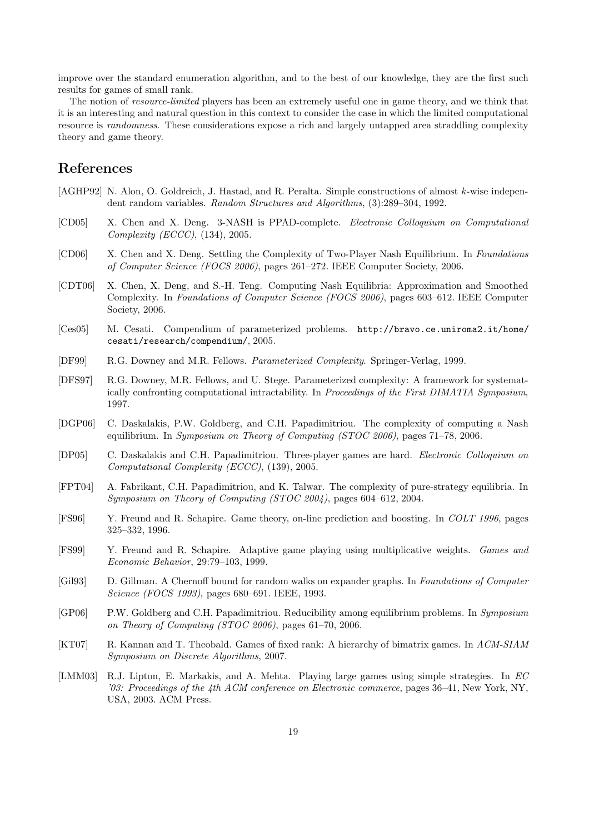improve over the standard enumeration algorithm, and to the best of our knowledge, they are the first such results for games of small rank.

The notion of *resource-limited* players has been an extremely useful one in game theory, and we think that it is an interesting and natural question in this context to consider the case in which the limited computational resource is randomness. These considerations expose a rich and largely untapped area straddling complexity theory and game theory.

# References

- [AGHP92] N. Alon, O. Goldreich, J. Hastad, and R. Peralta. Simple constructions of almost k-wise independent random variables. Random Structures and Algorithms, (3):289–304, 1992.
- [CD05] X. Chen and X. Deng. 3-NASH is PPAD-complete. Electronic Colloquium on Computational Complexity (ECCC), (134), 2005.
- [CD06] X. Chen and X. Deng. Settling the Complexity of Two-Player Nash Equilibrium. In Foundations of Computer Science (FOCS 2006), pages 261–272. IEEE Computer Society, 2006.
- [CDT06] X. Chen, X. Deng, and S.-H. Teng. Computing Nash Equilibria: Approximation and Smoothed Complexity. In Foundations of Computer Science (FOCS 2006), pages 603–612. IEEE Computer Society, 2006.
- [Ces05] M. Cesati. Compendium of parameterized problems. http://bravo.ce.uniroma2.it/home/ cesati/research/compendium/, 2005.
- [DF99] R.G. Downey and M.R. Fellows. Parameterized Complexity. Springer-Verlag, 1999.
- [DFS97] R.G. Downey, M.R. Fellows, and U. Stege. Parameterized complexity: A framework for systematically confronting computational intractability. In Proceedings of the First DIMATIA Symposium, 1997.
- [DGP06] C. Daskalakis, P.W. Goldberg, and C.H. Papadimitriou. The complexity of computing a Nash equilibrium. In Symposium on Theory of Computing (STOC 2006), pages 71–78, 2006.
- [DP05] C. Daskalakis and C.H. Papadimitriou. Three-player games are hard. Electronic Colloquium on Computational Complexity (ECCC), (139), 2005.
- [FPT04] A. Fabrikant, C.H. Papadimitriou, and K. Talwar. The complexity of pure-strategy equilibria. In Symposium on Theory of Computing (STOC 2004), pages 604–612, 2004.
- [FS96] Y. Freund and R. Schapire. Game theory, on-line prediction and boosting. In COLT 1996, pages 325–332, 1996.
- [FS99] Y. Freund and R. Schapire. Adaptive game playing using multiplicative weights. Games and Economic Behavior, 29:79–103, 1999.
- [Gil93] D. Gillman. A Chernoff bound for random walks on expander graphs. In Foundations of Computer Science (FOCS 1993), pages 680–691. IEEE, 1993.
- [GP06] P.W. Goldberg and C.H. Papadimitriou. Reducibility among equilibrium problems. In Symposium on Theory of Computing (STOC 2006), pages 61–70, 2006.
- [KT07] R. Kannan and T. Theobald. Games of fixed rank: A hierarchy of bimatrix games. In ACM-SIAM Symposium on Discrete Algorithms, 2007.
- [LMM03] R.J. Lipton, E. Markakis, and A. Mehta. Playing large games using simple strategies. In EC '03: Proceedings of the 4th ACM conference on Electronic commerce, pages  $36-41$ , New York, NY, USA, 2003. ACM Press.